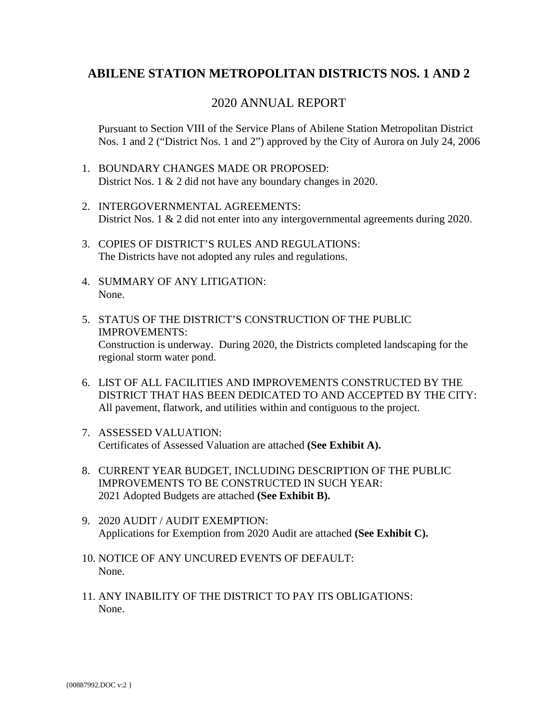### **ABILENE STATION METROPOLITAN DISTRICTS NOS. 1 AND 2**

### 2020 ANNUAL REPORT

Pursuant to Section VIII of the Service Plans of Abilene Station Metropolitan District Nos. 1 and 2 ("District Nos. 1 and 2") approved by the City of Aurora on July 24, 2006

- 1. BOUNDARY CHANGES MADE OR PROPOSED: District Nos. 1 & 2 did not have any boundary changes in 2020.
- 2. INTERGOVERNMENTAL AGREEMENTS: District Nos. 1 & 2 did not enter into any intergovernmental agreements during 2020.
- 3. COPIES OF DISTRICT'S RULES AND REGULATIONS: The Districts have not adopted any rules and regulations.
- 4. SUMMARY OF ANY LITIGATION: None.
- 5. STATUS OF THE DISTRICT'S CONSTRUCTION OF THE PUBLIC IMPROVEMENTS: Construction is underway. During 2020, the Districts completed landscaping for the regional storm water pond.
- 6. LIST OF ALL FACILITIES AND IMPROVEMENTS CONSTRUCTED BY THE DISTRICT THAT HAS BEEN DEDICATED TO AND ACCEPTED BY THE CITY: All pavement, flatwork, and utilities within and contiguous to the project.
- 7. ASSESSED VALUATION: [Certificates of Assessed Valuation are attached](#page-2-0) **(See Exhibit A).**
- 8. CURRENT YEAR BUDGET, INCLUDING DESCRIPTION OF THE PUBLIC IMPROVEMENTS TO BE CONSTRUCTED IN SUCH YEAR: [2021 Adopted Budgets are attached](#page-7-0) **(See Exhibit B).**
- 9. 2020 AUDIT / AUDIT EXEMPTION: [Applications for Exemption from 2020 Audit are attached](#page-27-0) **(See Exhibit C).**
- 10. NOTICE OF ANY UNCURED EVENTS OF DEFAULT: None.
- 11. ANY INABILITY OF THE DISTRICT TO PAY ITS OBLIGATIONS: None.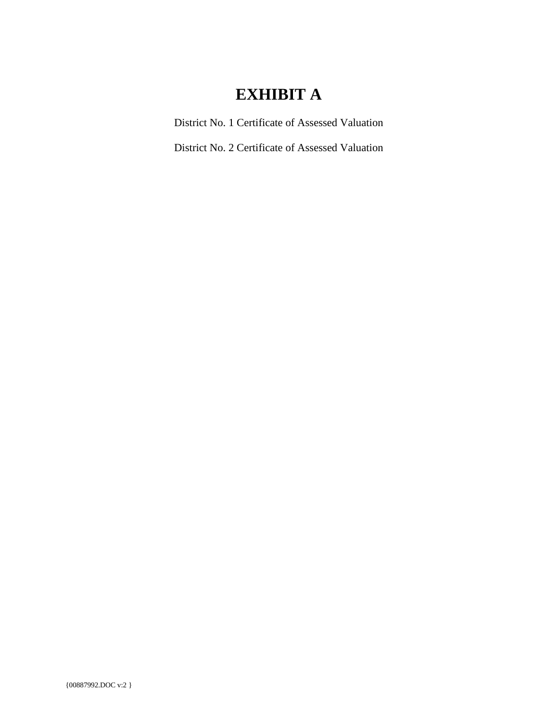# **EXHIBIT A**

District No. 1 Certificate of Assessed Valuation

District No. 2 Certificate of Assessed Valuation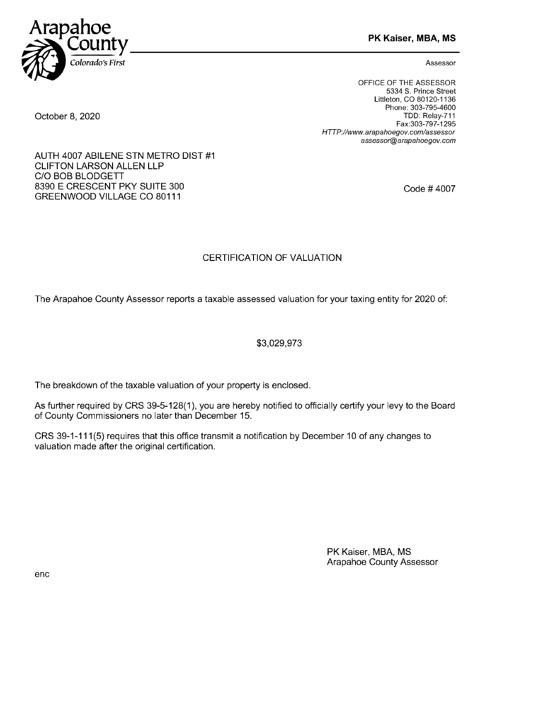<span id="page-2-0"></span>

PK Kaiser, MBA, MS

Assessor

OFFICE OF THE ASSESSOR 5334 5. Prince Street Littleton, CO 80120-1136 Phone: 303-795-4600 TDD: Relay-711 Fax:303-797-1295 HTTP://www.arapahoegov.com/assessor assessor@arapahoegov. corn

Code # 4007

#### October 8, 2020

AUTH 4007 ABILENE STN METRO DIST #1 CLIFTON LARSON ALLEN LLP C/O BOB BLODGETT 8390 E CRESCENT PKY SUITE 300 GREENWOOD VILLAGE CO 80111

#### CERTIFICATION OF VALUATION

The Arapahoe County Assessor reports a taxable assessed valuation for your taxing entity for 2020 of:

#### \$3,029,973

The breakdown of the taxable valuation of your property is enclosed.

As further required by CRS 39-5-128(1), you are hereby notified to officially certify your levy to the Board of County Commissioners no later than December 15.

CRS 39-1-111(5) requires that this office transmit a notification by December 10 of any changes to valuation made after the original certification.

> PK Kaiser, MBA, MS Arapahoe County Assessor

enc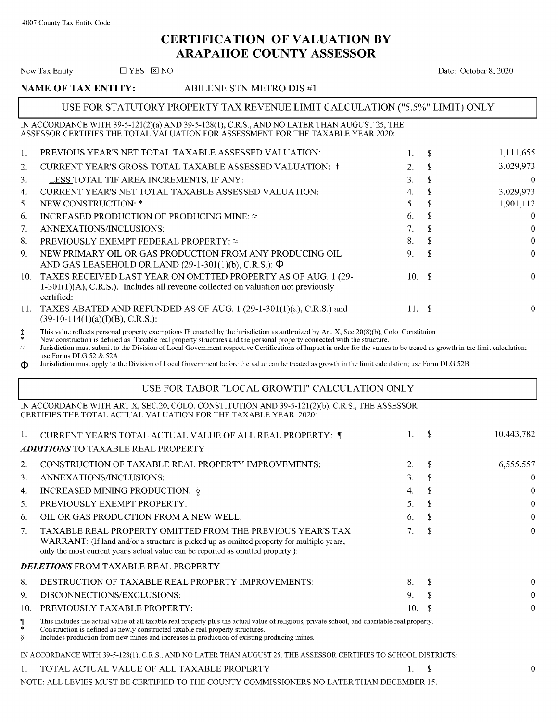### CERTIFICATION OF VALUATION BY ARAPAHOE COUNTY ASSESSOR

|                                  | New Tax Entity<br>$\Box$ YES $\boxtimes$ NO                                                                                                                                                                                                                                                                                                               |        |                            | Date: October 8, 2020 |
|----------------------------------|-----------------------------------------------------------------------------------------------------------------------------------------------------------------------------------------------------------------------------------------------------------------------------------------------------------------------------------------------------------|--------|----------------------------|-----------------------|
|                                  | <b>NAME OF TAX ENTITY:</b><br>ABILENE STN METRO DIS#1                                                                                                                                                                                                                                                                                                     |        |                            |                       |
|                                  | USE FOR STATUTORY PROPERTY TAX REVENUE LIMIT CALCULATION ("5.5%" LIMIT) ONLY                                                                                                                                                                                                                                                                              |        |                            |                       |
|                                  | IN ACCORDANCE WITH 39-5-121(2)(a) AND 39-5-128(1), C.R.S., AND NO LATER THAN AUGUST 25, THE<br>ASSESSOR CERTIFIES THE TOTAL VALUATION FOR ASSESSMENT FOR THE TAXABLE YEAR 2020:                                                                                                                                                                           |        |                            |                       |
| 1.                               | PREVIOUS YEAR'S NET TOTAL TAXABLE ASSESSED VALUATION:                                                                                                                                                                                                                                                                                                     | 1.     | \$                         | 1,111,655             |
| 2.                               | CURRENT YEAR'S GROSS TOTAL TAXABLE ASSESSED VALUATION: ‡                                                                                                                                                                                                                                                                                                  | 2.     | \$                         | 3,029,973             |
| 3.                               | LESS TOTAL TIF AREA INCREMENTS, IF ANY:                                                                                                                                                                                                                                                                                                                   | 3.     | \$                         | $\theta$              |
| 4.                               | CURRENT YEAR'S NET TOTAL TAXABLE ASSESSED VALUATION:                                                                                                                                                                                                                                                                                                      | 4.     | $\mathbf S$                | 3,029,973             |
| 5.                               | NEW CONSTRUCTION: *                                                                                                                                                                                                                                                                                                                                       | 5.     | $\mathbb{S}$               | 1,901,112             |
| 6.                               | INCREASED PRODUCTION OF PRODUCING MINE: $\approx$                                                                                                                                                                                                                                                                                                         | 6.     | \$                         | $\theta$              |
| 7.                               | ANNEXATIONS/INCLUSIONS:                                                                                                                                                                                                                                                                                                                                   | 7.     | $\$$                       | $\bf{0}$              |
| 8.                               | PREVIOUSLY EXEMPT FEDERAL PROPERTY: $\approx$                                                                                                                                                                                                                                                                                                             | 8.     | \$                         | $\theta$              |
| 9.                               | NEW PRIMARY OIL OR GAS PRODUCTION FROM ANY PRODUCING OIL<br>AND GAS LEASEHOLD OR LAND $(29-1-301(1)(b), C.R.S.)$ : $\Phi$                                                                                                                                                                                                                                 | 9.     | \$                         | $\theta$              |
| 10.                              | TAXES RECEIVED LAST YEAR ON OMITTED PROPERTY AS OF AUG. 1 (29-<br>$1-301(1)(A)$ , C.R.S.). Includes all revenue collected on valuation not previously<br>certified:                                                                                                                                                                                       | 10.    | - \$                       | $\theta$              |
| 11.                              | TAXES ABATED AND REFUNDED AS OF AUG. 1 (29-1-301(1)(a), C.R.S.) and<br>$(39-10-114(1)(a)(I)(B), C.R.S.)$ :                                                                                                                                                                                                                                                | 11. \$ |                            | $\theta$              |
| $\approx$<br>Ф                   | Jurisdiction must submit to the Division of Local Government respective Certifications of Impact in order for the values to be treaed as growth in the limit calculation;<br>use Forms DLG 52 & 52A.<br>Jurisdiction must apply to the Division of Local Government before the value can be treated as growth in the limit calculation; use Form DLG 52B. |        |                            |                       |
|                                  | USE FOR TABOR "LOCAL GROWTH" CALCULATION ONLY                                                                                                                                                                                                                                                                                                             |        |                            |                       |
|                                  | IN ACCORDANCE WITH ART X, SEC.20, COLO. CONSTITUTION AND 39-5-121(2)(b), C.R.S., THE ASSESSOR<br>CERTIFIES THE TOTAL ACTUAL VALUATION FOR THE TAXABLE YEAR 2020:                                                                                                                                                                                          |        |                            |                       |
| 1.                               | CURRENT YEAR'S TOTAL ACTUAL VALUE OF ALL REAL PROPERTY: ¶                                                                                                                                                                                                                                                                                                 | 1.     | <sup>\$</sup>              | 10,443,782            |
|                                  | <b>ADDITIONS TO TAXABLE REAL PROPERTY</b>                                                                                                                                                                                                                                                                                                                 |        |                            |                       |
| 2.                               | CONSTRUCTION OF TAXABLE REAL PROPERTY IMPROVEMENTS:                                                                                                                                                                                                                                                                                                       | 2.     | \$.                        | 6,555,557             |
| 3.                               | ANNEXATIONS/INCLUSIONS:                                                                                                                                                                                                                                                                                                                                   | 3.     | X,                         | $\boldsymbol{0}$      |
| 4.                               | INCREASED MINING PRODUCTION: §                                                                                                                                                                                                                                                                                                                            | 4.     | \$                         | 0                     |
| 5.                               | PREVIOUSLY EXEMPT PROPERTY:                                                                                                                                                                                                                                                                                                                               | 5.     | \$                         | $\bf{0}$              |
| 6.                               | OIL OR GAS PRODUCTION FROM A NEW WELL:                                                                                                                                                                                                                                                                                                                    | 6.     | \$.                        | $\bf{0}$              |
| 7.                               | TAXABLE REAL PROPERTY OMITTED FROM THE PREVIOUS YEAR'S TAX<br>WARRANT: (If land and/or a structure is picked up as omitted property for multiple years,<br>only the most current year's actual value can be reported as omitted property.):                                                                                                               | 7.     | \$                         | $\bf{0}$              |
|                                  | <b>DELETIONS FROM TAXABLE REAL PROPERTY</b>                                                                                                                                                                                                                                                                                                               |        |                            |                       |
| 8.                               | DESTRUCTION OF TAXABLE REAL PROPERTY IMPROVEMENTS:                                                                                                                                                                                                                                                                                                        | 8.     | \$                         | $\bf{0}$              |
| 9.                               | DISCONNECTIONS/EXCLUSIONS:                                                                                                                                                                                                                                                                                                                                | 9.     | S                          | $\bf{0}$              |
| 10.                              | PREVIOUSLY TAXABLE PROPERTY:                                                                                                                                                                                                                                                                                                                              | 10.    | -S                         | $\theta$              |
| $\blacksquare$<br>$\ast$<br>$\S$ | This includes the actual value of all taxable real property plus the actual value of religious, private school, and charitable real property.<br>Construction is defined as newly constructed taxable real property structures.<br>Includes production from new mines and increases in production of existing producing mines.                            |        |                            |                       |
|                                  | IN ACCORDANCE WITH 39-5-128(1), C.R.S., AND NO LATER THAN AUGUST 25, THE ASSESSOR CERTIFIES TO SCHOOL DISTRICTS:                                                                                                                                                                                                                                          |        |                            |                       |
| 1.                               | TOTAL ACTUAL VALUE OF ALL TAXABLE PROPERTY                                                                                                                                                                                                                                                                                                                | 1.     | $\boldsymbol{\mathcal{S}}$ | $\theta$              |
|                                  |                                                                                                                                                                                                                                                                                                                                                           |        |                            |                       |

NOTE: ALL LEVIES MUST BE CERTIFIED TO THE COUNTY COMMISSIONERS NO LATER THAN DECEMBER 15.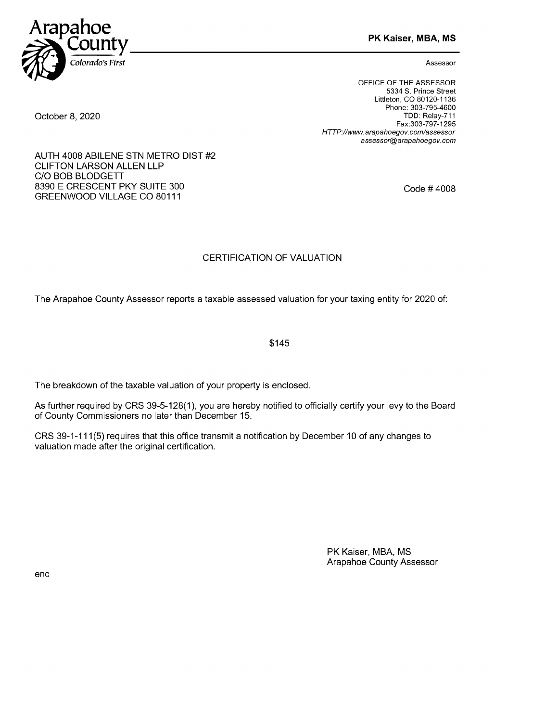

PK Kaiser, MBA, MS

Assessor

OFFICE OF THE ASSESSOR 5334 5. Prince Street Littleton, CO 80120-1136 Phone: 303-795-4600 TDD: Relay-711 Fax:303-797-1295 HTTP://www.arapahoegov.com/assessor assessor@arapahoegov. corn

Code # 4008

### CERTIFICATION OF VALUATION

The Arapahoe County Assessor reports a taxable assessed valuation for your taxing entity for 2020 of:

\$145

The breakdown of the taxable valuation of your property is enclosed.

As further required by CRS 39-5-128(1), you are hereby notified to officially certify your levy to the Board of County Commissioners no later than December 15.

CRS 39-1-111(5) requires that this office transmit a notification by December 10 of any changes to valuation made after the original certification.

> PK Kaiser, MBA, MS Arapahoe County Assessor

October 8, 2020

AUTH 4008 ABILENE STN METRO DIST #2 CLIFTON LARSON ALLEN LLP C/O BOB BLODGETT 8390 E CRESCENT PKY SUITE 300 GREENWOOD VILLAGE CO 80111

enc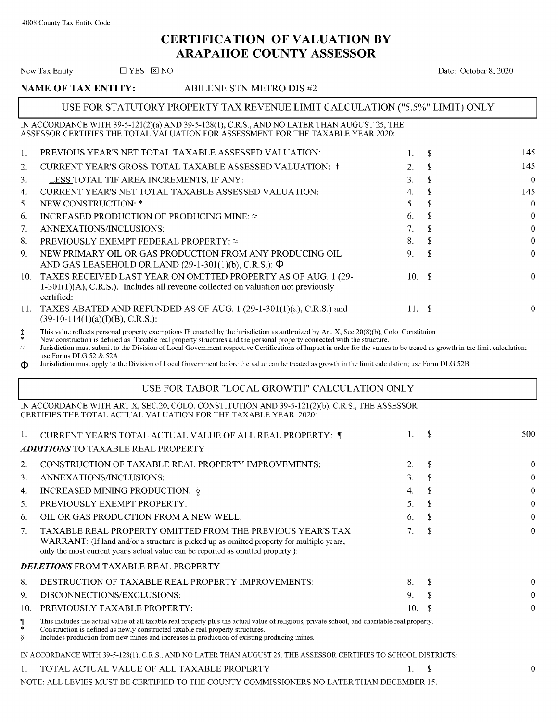### CERTIFICATION OF VALUATION BY ARAPAHOE COUNTY ASSESSOR

|                | New Tax Entity<br>$\Box$ YES $\boxtimes$ NO                                                                                                                                                                                                                                                                                                               |          | Date: October 8, 2020   |          |
|----------------|-----------------------------------------------------------------------------------------------------------------------------------------------------------------------------------------------------------------------------------------------------------------------------------------------------------------------------------------------------------|----------|-------------------------|----------|
|                | <b>NAME OF TAX ENTITY:</b><br><b>ABILENE STN METRO DIS#2</b>                                                                                                                                                                                                                                                                                              |          |                         |          |
|                | USE FOR STATUTORY PROPERTY TAX REVENUE LIMIT CALCULATION ("5.5%" LIMIT) ONLY                                                                                                                                                                                                                                                                              |          |                         |          |
|                | IN ACCORDANCE WITH 39-5-121(2)(a) AND 39-5-128(1), C.R.S., AND NO LATER THAN AUGUST 25, THE<br>ASSESSOR CERTIFIES THE TOTAL VALUATION FOR ASSESSMENT FOR THE TAXABLE YEAR 2020:                                                                                                                                                                           |          |                         |          |
| 1.             | PREVIOUS YEAR'S NET TOTAL TAXABLE ASSESSED VALUATION:                                                                                                                                                                                                                                                                                                     | 1.       | S.                      | 145      |
| 2.             | CURRENT YEAR'S GROSS TOTAL TAXABLE ASSESSED VALUATION: ‡                                                                                                                                                                                                                                                                                                  | 2.       | \$                      | 145      |
| 3.             | LESS TOTAL TIF AREA INCREMENTS, IF ANY:                                                                                                                                                                                                                                                                                                                   | 3.       | \$                      | $\bf{0}$ |
| 4.             | CURRENT YEAR'S NET TOTAL TAXABLE ASSESSED VALUATION:                                                                                                                                                                                                                                                                                                      | 4.       | \$                      | 145      |
| 5.             | NEW CONSTRUCTION: *                                                                                                                                                                                                                                                                                                                                       | 5.       | \$                      | $\theta$ |
| 6.             | INCREASED PRODUCTION OF PRODUCING MINE: $\approx$                                                                                                                                                                                                                                                                                                         | 6.       | \$                      | $\theta$ |
| 7.             | ANNEXATIONS/INCLUSIONS:                                                                                                                                                                                                                                                                                                                                   | 7.       | \$                      | $\bf{0}$ |
| 8.             | PREVIOUSLY EXEMPT FEDERAL PROPERTY: $\approx$                                                                                                                                                                                                                                                                                                             | 8.       | \$                      | $\theta$ |
| 9.             | NEW PRIMARY OIL OR GAS PRODUCTION FROM ANY PRODUCING OIL<br>AND GAS LEASEHOLD OR LAND $(29-1-301(1)(b), C.R.S.)$ : $\Phi$                                                                                                                                                                                                                                 | 9.       | \$                      | $\theta$ |
| 10.            | TAXES RECEIVED LAST YEAR ON OMITTED PROPERTY AS OF AUG. 1 (29-<br>$1-301(1)(A)$ , C.R.S.). Includes all revenue collected on valuation not previously<br>certified:                                                                                                                                                                                       | 10.      | -\$                     | $\theta$ |
| 11.            | TAXES ABATED AND REFUNDED AS OF AUG. 1 (29-1-301(1)(a), C.R.S.) and<br>$(39-10-114(1)(a)(I)(B), C.R.S.)$ :                                                                                                                                                                                                                                                | $11. \S$ |                         | $\theta$ |
| $\approx$<br>Ф | Jurisdiction must submit to the Division of Local Government respective Certifications of Impact in order for the values to be treaed as growth in the limit calculation;<br>use Forms DLG 52 & 52A.<br>Jurisdiction must apply to the Division of Local Government before the value can be treated as growth in the limit calculation; use Form DLG 52B. |          |                         |          |
|                | USE FOR TABOR "LOCAL GROWTH" CALCULATION ONLY                                                                                                                                                                                                                                                                                                             |          |                         |          |
|                | IN ACCORDANCE WITH ART X, SEC.20, COLO. CONSTITUTION AND 39-5-121(2)(b), C.R.S., THE ASSESSOR<br>CERTIFIES THE TOTAL ACTUAL VALUATION FOR THE TAXABLE YEAR 2020:                                                                                                                                                                                          |          |                         |          |
| 1.             | CURRENT YEAR'S TOTAL ACTUAL VALUE OF ALL REAL PROPERTY: 1                                                                                                                                                                                                                                                                                                 | 1.       | \$                      | 500      |
|                | <b>ADDITIONS TO TAXABLE REAL PROPERTY</b>                                                                                                                                                                                                                                                                                                                 |          |                         |          |
| 2.             | CONSTRUCTION OF TAXABLE REAL PROPERTY IMPROVEMENTS:                                                                                                                                                                                                                                                                                                       | 2.       | \$.                     | $\bf{0}$ |
| 3.             | ANNEXATIONS/INCLUSIONS:                                                                                                                                                                                                                                                                                                                                   | 3.       | 2                       | $\bf{0}$ |
| 4.             | INCREASED MINING PRODUCTION: §                                                                                                                                                                                                                                                                                                                            | 4.       |                         | $\theta$ |
| 5.             | PREVIOUSLY EXEMPT PROPERTY:                                                                                                                                                                                                                                                                                                                               | 5.       | \$                      | $\theta$ |
| 6.             | OIL OR GAS PRODUCTION FROM A NEW WELL:                                                                                                                                                                                                                                                                                                                    | 6.       | \$                      | $\theta$ |
| 7.             | TAXABLE REAL PROPERTY OMITTED FROM THE PREVIOUS YEAR'S TAX<br>WARRANT: (If land and/or a structure is picked up as omitted property for multiple years,<br>only the most current year's actual value can be reported as omitted property.):                                                                                                               | 7.       | \$                      | $\bf{0}$ |
|                | <b>DELETIONS FROM TAXABLE REAL PROPERTY</b>                                                                                                                                                                                                                                                                                                               |          |                         |          |
| 8.             | DESTRUCTION OF TAXABLE REAL PROPERTY IMPROVEMENTS:                                                                                                                                                                                                                                                                                                        | 8.       | \$                      | $\theta$ |
| 9.             | DISCONNECTIONS/EXCLUSIONS:                                                                                                                                                                                                                                                                                                                                | 9.       | \$                      | $\theta$ |
| 10.            | PREVIOUSLY TAXABLE PROPERTY:                                                                                                                                                                                                                                                                                                                              | 10.      | -S                      | $\bf{0}$ |
| $\blacksquare$ | This includes the actual value of all taxable real property plus the actual value of religious, private school, and charitable real property.                                                                                                                                                                                                             |          |                         |          |
| $\ast$<br>ş    | Construction is defined as newly constructed taxable real property structures.<br>Includes production from new mines and increases in production of existing producing mines.                                                                                                                                                                             |          |                         |          |
|                | IN ACCORDANCE WITH 39-5-128(1), C.R.S., AND NO LATER THAN AUGUST 25, THE ASSESSOR CERTIFIES TO SCHOOL DISTRICTS:                                                                                                                                                                                                                                          |          |                         |          |
| 1.             | TOTAL ACTUAL VALUE OF ALL TAXABLE PROPERTY                                                                                                                                                                                                                                                                                                                | 1.       | $\sqrt[6]{\frac{1}{2}}$ | $\theta$ |

NOTE: ALL LEVIES MUST BE CERTIFIED TO THE COUNTY COMMISSIONERS NO LATER THAN DECEMBER 15.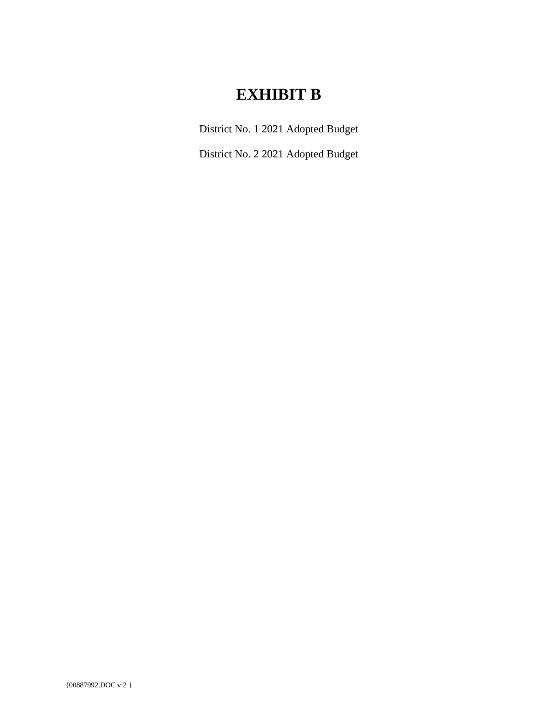# **EXHIBIT B**

District No. 1 2021 Adopted Budget

District No. 2 2021 Adopted Budget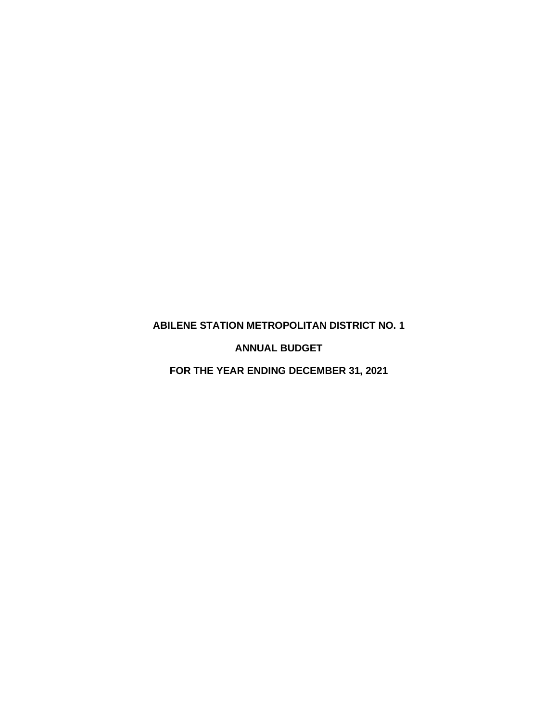### <span id="page-7-0"></span>**ABILENE STATION METROPOLITAN DISTRICT NO. 1**

**ANNUAL BUDGET**

**FOR THE YEAR ENDING DECEMBER 31, 2021**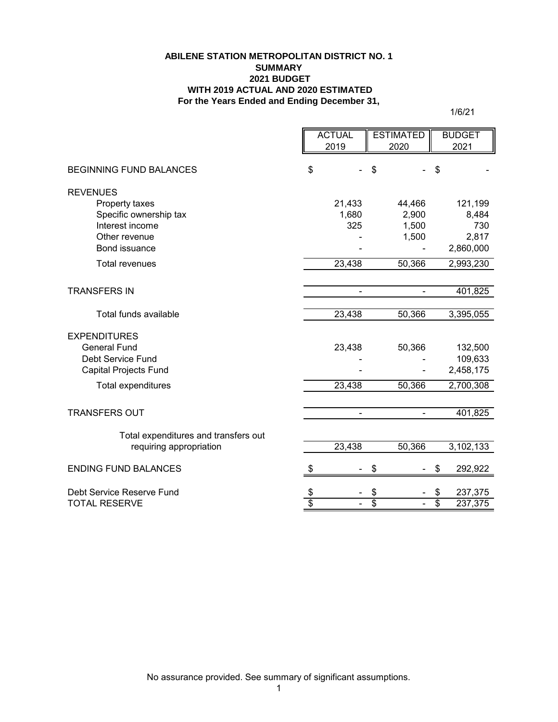#### **ABILENE STATION METROPOLITAN DISTRICT NO. 1 SUMMARY 2021 BUDGET WITH 2019 ACTUAL AND 2020 ESTIMATED For the Years Ended and Ending December 31,**

1/6/21

|                                      | <b>ACTUAL</b> |        | <b>ESTIMATED</b> |                |                 | <b>BUDGET</b> |
|--------------------------------------|---------------|--------|------------------|----------------|-----------------|---------------|
|                                      |               | 2019   | 2020             |                |                 | 2021          |
| <b>BEGINNING FUND BALANCES</b>       | \$            |        | \$               |                | \$              |               |
| <b>REVENUES</b>                      |               |        |                  |                |                 |               |
| Property taxes                       |               | 21,433 |                  | 44,466         |                 | 121,199       |
| Specific ownership tax               |               | 1,680  |                  | 2,900          |                 | 8,484         |
| Interest income                      |               | 325    |                  | 1,500          |                 | 730           |
| Other revenue                        |               |        |                  | 1,500          |                 | 2,817         |
| Bond issuance                        |               |        |                  |                |                 | 2,860,000     |
| <b>Total revenues</b>                |               | 23,438 |                  | 50,366         |                 | 2,993,230     |
|                                      |               |        |                  |                |                 |               |
| <b>TRANSFERS IN</b>                  |               | ÷,     |                  |                |                 | 401,825       |
| Total funds available                |               | 23,438 |                  | 50,366         |                 | 3,395,055     |
| <b>EXPENDITURES</b>                  |               |        |                  |                |                 |               |
| <b>General Fund</b>                  |               | 23,438 |                  | 50,366         |                 | 132,500       |
| Debt Service Fund                    |               |        |                  |                |                 | 109,633       |
| <b>Capital Projects Fund</b>         |               |        |                  |                |                 | 2,458,175     |
| <b>Total expenditures</b>            |               | 23,438 |                  | 50,366         |                 | 2,700,308     |
|                                      |               |        |                  |                |                 |               |
| <b>TRANSFERS OUT</b>                 |               | ÷.     |                  | $\blacksquare$ |                 | 401,825       |
| Total expenditures and transfers out |               |        |                  |                |                 |               |
| requiring appropriation              |               | 23,438 |                  | 50,366         |                 | 3,102,133     |
| <b>ENDING FUND BALANCES</b>          |               |        | S                |                | \$              | 292,922       |
| Debt Service Reserve Fund            | \$            |        | \$               |                | \$              | 237,375       |
| <b>TOTAL RESERVE</b>                 | \$            |        | \$               |                | $\overline{\$}$ | 237,375       |

No assurance provided. See summary of significant assumptions.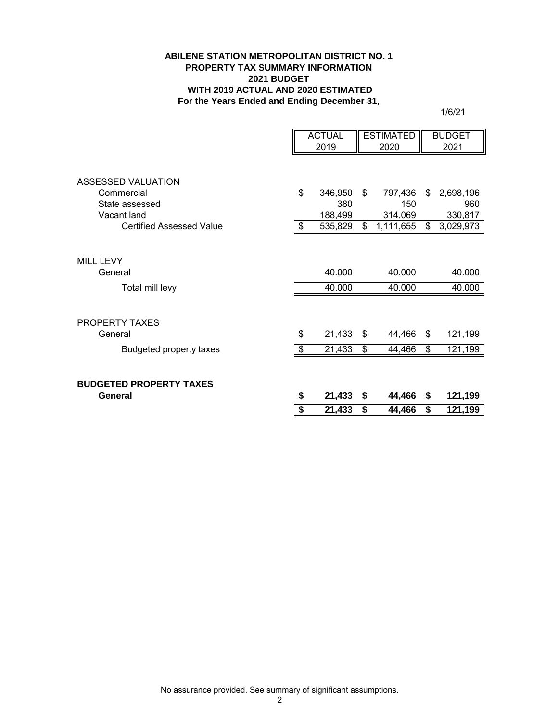#### **ABILENE STATION METROPOLITAN DISTRICT NO. 1 PROPERTY TAX SUMMARY INFORMATION 2021 BUDGET WITH 2019 ACTUAL AND 2020 ESTIMATED For the Years Ended and Ending December 31,**

1/6/21

|                                 |     | <b>ACTUAL</b> |    | <b>ESTIMATED</b> |    | <b>BUDGET</b> |
|---------------------------------|-----|---------------|----|------------------|----|---------------|
|                                 |     | 2019          |    | 2020             |    | 2021          |
|                                 |     |               |    |                  |    |               |
| <b>ASSESSED VALUATION</b>       |     |               |    |                  |    |               |
| Commercial                      | \$  | 346,950       | \$ | 797,436          | \$ | 2,698,196     |
| State assessed                  |     | 380           |    | 150              |    | 960           |
| Vacant land                     |     | 188,499       |    | 314,069          |    | 330,817       |
| <b>Certified Assessed Value</b> |     | 535,829       | \$ | 1,111,655        | \$ | 3,029,973     |
|                                 |     |               |    |                  |    |               |
| <b>MILL LEVY</b>                |     |               |    |                  |    |               |
| General                         |     | 40.000        |    | 40.000           |    | 40.000        |
| Total mill levy                 |     | 40.000        |    | 40.000           |    | 40.000        |
| <b>PROPERTY TAXES</b>           |     |               |    |                  |    |               |
| General                         | \$  | 21,433        | \$ | 44,466           | \$ | 121,199       |
| <b>Budgeted property taxes</b>  | \$. | 21,433        | \$ | 44,466           | \$ | 121,199       |
|                                 |     |               |    |                  |    |               |
| <b>BUDGETED PROPERTY TAXES</b>  |     |               |    |                  |    |               |
| General                         | \$  | 21,433        | \$ | 44,466           | \$ | 121,199       |
|                                 |     | 21,433        | \$ | 44,466           | \$ | 121,199       |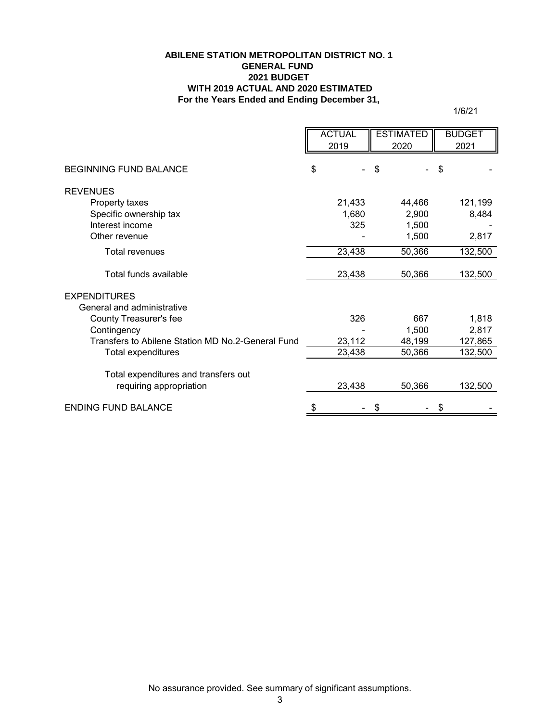#### **For the Years Ended and Ending December 31, ABILENE STATION METROPOLITAN DISTRICT NO. 1 GENERAL FUND 2021 BUDGET WITH 2019 ACTUAL AND 2020 ESTIMATED**

1/6/21

|                                                   | <b>ACTUAL</b> | <b>ESTIMATED</b> | <b>BUDGET</b> |
|---------------------------------------------------|---------------|------------------|---------------|
|                                                   | 2019          | 2020             | 2021          |
|                                                   |               |                  |               |
| BEGINNING FUND BALANCE                            | \$            | \$               | \$            |
| <b>REVENUES</b>                                   |               |                  |               |
| Property taxes                                    | 21,433        | 44,466           | 121,199       |
| Specific ownership tax                            | 1,680         | 2,900            | 8,484         |
| Interest income                                   | 325           | 1,500            |               |
| Other revenue                                     |               | 1,500            | 2,817         |
| <b>Total revenues</b>                             | 23,438        | 50,366           | 132,500       |
| Total funds available                             | 23,438        | 50,366           | 132,500       |
| <b>EXPENDITURES</b>                               |               |                  |               |
| General and administrative                        |               |                  |               |
| County Treasurer's fee                            | 326           | 667              | 1,818         |
| Contingency                                       |               | 1,500            | 2,817         |
| Transfers to Abilene Station MD No.2-General Fund | 23,112        | 48,199           | 127,865       |
| Total expenditures                                | 23,438        | 50,366           | 132,500       |
| Total expenditures and transfers out              |               |                  |               |
| requiring appropriation                           | 23,438        | 50,366           | 132,500       |
| <b>ENDING FUND BALANCE</b>                        | \$            | \$               | \$            |

No assurance provided. See summary of significant assumptions.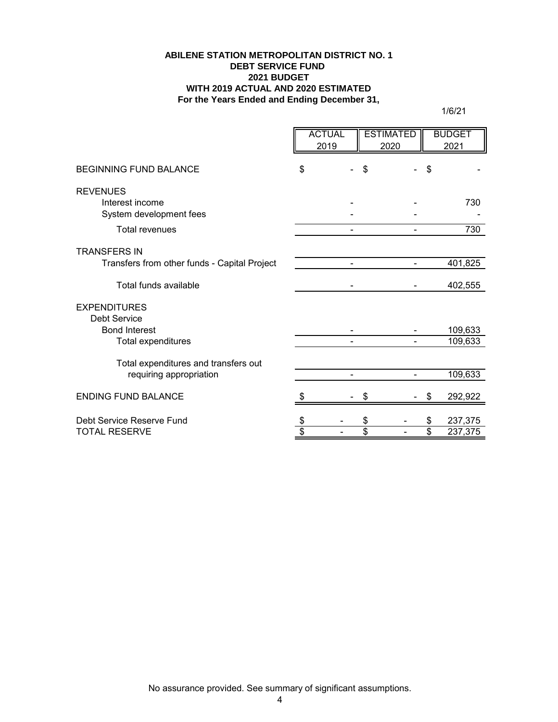#### **ABILENE STATION METROPOLITAN DISTRICT NO. 1 DEBT SERVICE FUND 2021 BUDGET WITH 2019 ACTUAL AND 2020 ESTIMATED For the Years Ended and Ending December 31,**

1/6/21

|                                                               | <b>ACTUAL</b><br>2019 |    | <b>ESTIMATED</b><br>2020 |                          | <b>BUDGET</b><br>2021 |
|---------------------------------------------------------------|-----------------------|----|--------------------------|--------------------------|-----------------------|
| <b>BEGINNING FUND BALANCE</b>                                 | \$                    | \$ |                          | \$                       |                       |
| <b>REVENUES</b><br>Interest income<br>System development fees |                       |    |                          |                          | 730                   |
| <b>Total revenues</b>                                         | -                     |    |                          |                          | 730                   |
| <b>TRANSFERS IN</b>                                           |                       |    |                          |                          |                       |
| Transfers from other funds - Capital Project                  | $\blacksquare$        |    |                          |                          | 401,825               |
| Total funds available                                         |                       |    |                          |                          | 402,555               |
| <b>EXPENDITURES</b><br><b>Debt Service</b>                    |                       |    |                          |                          |                       |
| <b>Bond Interest</b>                                          |                       |    |                          |                          | 109,633               |
| Total expenditures                                            |                       |    |                          |                          | 109,633               |
| Total expenditures and transfers out                          |                       |    |                          |                          |                       |
| requiring appropriation                                       |                       |    |                          |                          | 109,633               |
| <b>ENDING FUND BALANCE</b>                                    |                       | S  |                          | \$                       | 292,922               |
| Debt Service Reserve Fund                                     |                       | \$ |                          | \$                       | 237,375               |
| <b>TOTAL RESERVE</b>                                          | \$                    | \$ |                          | $\overline{\mathcal{S}}$ | 237,375               |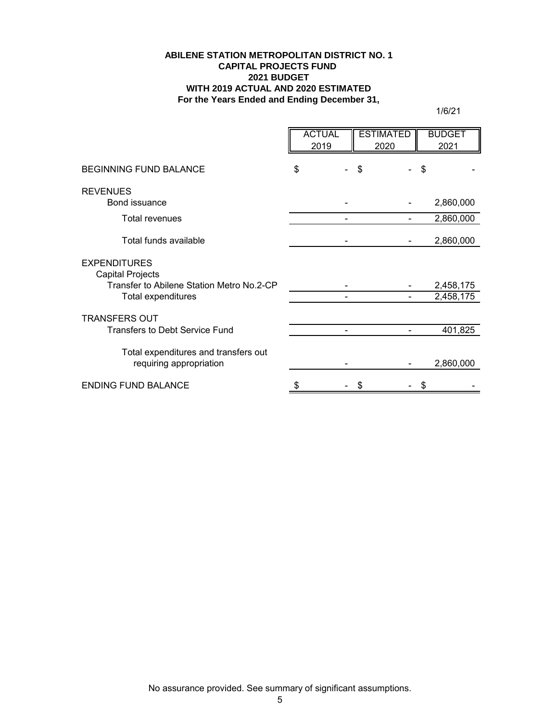#### **ABILENE STATION METROPOLITAN DISTRICT NO. 1 CAPITAL PROJECTS FUND 2021 BUDGET WITH 2019 ACTUAL AND 2020 ESTIMATED For the Years Ended and Ending December 31,**

1/6/21

|                                                                 | <b>ACTUAL</b><br>2019 |    | <b>ESTIMATED</b><br>2020 |    | <b>BUDGET</b><br>2021 |
|-----------------------------------------------------------------|-----------------------|----|--------------------------|----|-----------------------|
| <b>BEGINNING FUND BALANCE</b>                                   | \$                    | \$ |                          | \$ |                       |
| <b>REVENUES</b>                                                 |                       |    |                          |    |                       |
| Bond issuance                                                   |                       |    |                          |    | 2,860,000             |
| <b>Total revenues</b>                                           |                       |    |                          |    | 2,860,000             |
| Total funds available                                           |                       |    |                          |    | 2,860,000             |
| <b>EXPENDITURES</b><br>Capital Projects                         |                       |    |                          |    |                       |
| Transfer to Abilene Station Metro No.2-CP                       |                       |    |                          |    | 2,458,175             |
| Total expenditures                                              |                       |    |                          |    | 2,458,175             |
| <b>TRANSFERS OUT</b>                                            |                       |    |                          |    |                       |
| <b>Transfers to Debt Service Fund</b>                           |                       |    |                          |    | 401,825               |
| Total expenditures and transfers out<br>requiring appropriation |                       |    |                          |    | 2,860,000             |
|                                                                 |                       |    |                          |    |                       |
| <b>ENDING FUND BALANCE</b>                                      |                       | S  |                          | S  |                       |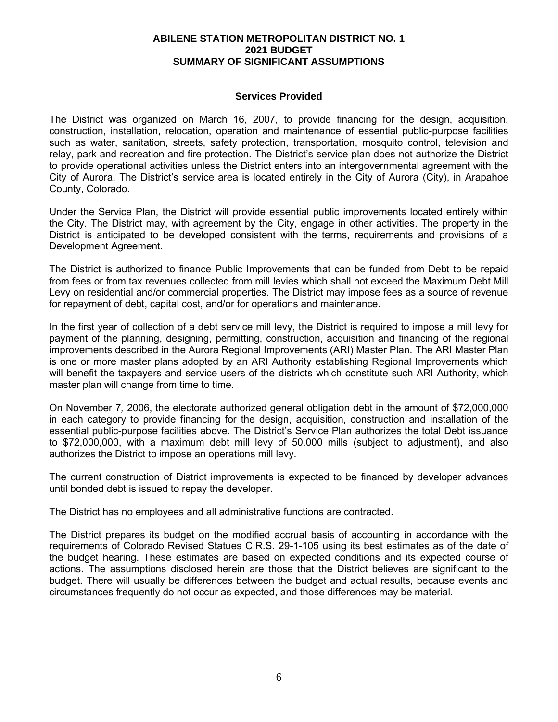#### **ABILENE STATION METROPOLITAN DISTRICT NO. 1 2021 BUDGET SUMMARY OF SIGNIFICANT ASSUMPTIONS**

#### **Services Provided**

The District was organized on March 16, 2007, to provide financing for the design, acquisition, construction, installation, relocation, operation and maintenance of essential public-purpose facilities such as water, sanitation, streets, safety protection, transportation, mosquito control, television and relay, park and recreation and fire protection. The District's service plan does not authorize the District to provide operational activities unless the District enters into an intergovernmental agreement with the City of Aurora. The District's service area is located entirely in the City of Aurora (City), in Arapahoe County, Colorado.

Under the Service Plan, the District will provide essential public improvements located entirely within the City. The District may, with agreement by the City, engage in other activities. The property in the District is anticipated to be developed consistent with the terms, requirements and provisions of a Development Agreement.

The District is authorized to finance Public Improvements that can be funded from Debt to be repaid from fees or from tax revenues collected from mill levies which shall not exceed the Maximum Debt Mill Levy on residential and/or commercial properties. The District may impose fees as a source of revenue for repayment of debt, capital cost, and/or for operations and maintenance.

In the first year of collection of a debt service mill levy, the District is required to impose a mill levy for payment of the planning, designing, permitting, construction, acquisition and financing of the regional improvements described in the Aurora Regional Improvements (ARI) Master Plan. The ARI Master Plan is one or more master plans adopted by an ARI Authority establishing Regional Improvements which will benefit the taxpayers and service users of the districts which constitute such ARI Authority, which master plan will change from time to time.

On November 7*,* 2006, the electorate authorized general obligation debt in the amount of \$72,000,000 in each category to provide financing for the design, acquisition, construction and installation of the essential public-purpose facilities above. The District's Service Plan authorizes the total Debt issuance to \$72,000,000, with a maximum debt mill levy of 50.000 mills (subject to adjustment), and also authorizes the District to impose an operations mill levy.

The current construction of District improvements is expected to be financed by developer advances until bonded debt is issued to repay the developer.

The District has no employees and all administrative functions are contracted.

The District prepares its budget on the modified accrual basis of accounting in accordance with the requirements of Colorado Revised Statues C.R.S. 29-1-105 using its best estimates as of the date of the budget hearing. These estimates are based on expected conditions and its expected course of actions. The assumptions disclosed herein are those that the District believes are significant to the budget. There will usually be differences between the budget and actual results, because events and circumstances frequently do not occur as expected, and those differences may be material.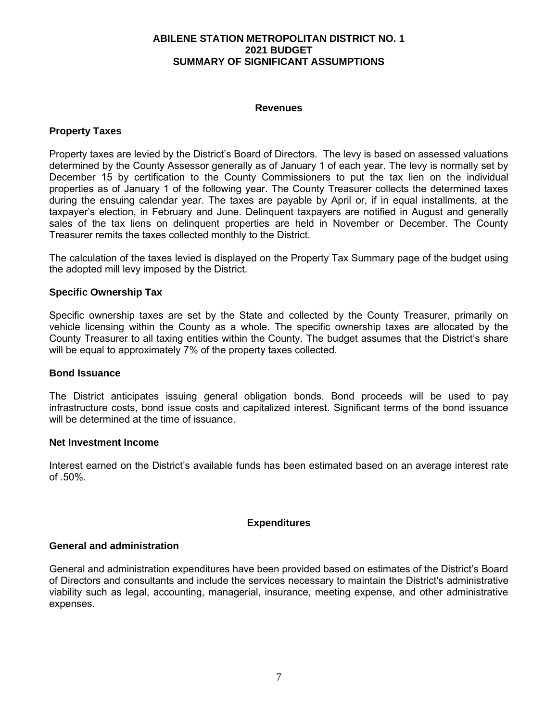#### **ABILENE STATION METROPOLITAN DISTRICT NO. 1 2021 BUDGET SUMMARY OF SIGNIFICANT ASSUMPTIONS**

#### **Revenues**

#### **Property Taxes**

Property taxes are levied by the District's Board of Directors. The levy is based on assessed valuations determined by the County Assessor generally as of January 1 of each year. The levy is normally set by December 15 by certification to the County Commissioners to put the tax lien on the individual properties as of January 1 of the following year. The County Treasurer collects the determined taxes during the ensuing calendar year. The taxes are payable by April or, if in equal installments, at the taxpayer's election, in February and June. Delinquent taxpayers are notified in August and generally sales of the tax liens on delinquent properties are held in November or December. The County Treasurer remits the taxes collected monthly to the District.

The calculation of the taxes levied is displayed on the Property Tax Summary page of the budget using the adopted mill levy imposed by the District.

#### **Specific Ownership Tax**

Specific ownership taxes are set by the State and collected by the County Treasurer, primarily on vehicle licensing within the County as a whole. The specific ownership taxes are allocated by the County Treasurer to all taxing entities within the County. The budget assumes that the District's share will be equal to approximately 7% of the property taxes collected.

#### **Bond Issuance**

The District anticipates issuing general obligation bonds. Bond proceeds will be used to pay infrastructure costs, bond issue costs and capitalized interest. Significant terms of the bond issuance will be determined at the time of issuance.

#### **Net Investment Income**

Interest earned on the District's available funds has been estimated based on an average interest rate of .50%.

#### **Expenditures**

#### **General and administration**

General and administration expenditures have been provided based on estimates of the District's Board of Directors and consultants and include the services necessary to maintain the District's administrative viability such as legal, accounting, managerial, insurance, meeting expense, and other administrative expenses.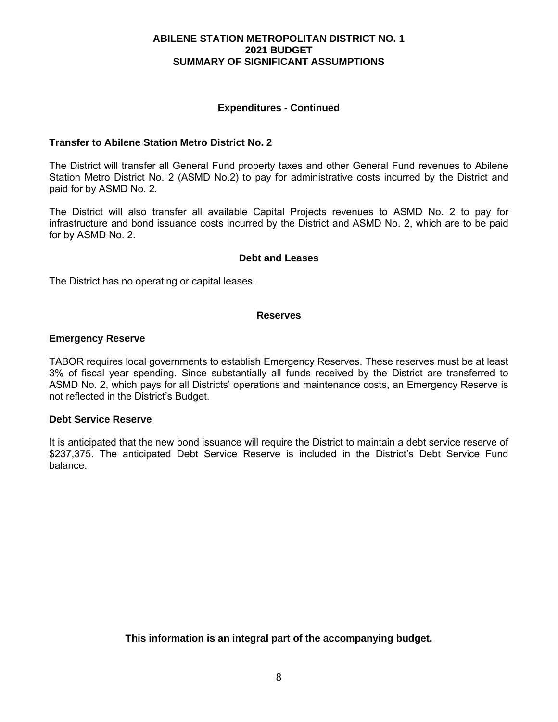#### **ABILENE STATION METROPOLITAN DISTRICT NO. 1 2021 BUDGET SUMMARY OF SIGNIFICANT ASSUMPTIONS**

#### **Expenditures - Continued**

#### **Transfer to Abilene Station Metro District No. 2**

The District will transfer all General Fund property taxes and other General Fund revenues to Abilene Station Metro District No. 2 (ASMD No.2) to pay for administrative costs incurred by the District and paid for by ASMD No. 2.

The District will also transfer all available Capital Projects revenues to ASMD No. 2 to pay for infrastructure and bond issuance costs incurred by the District and ASMD No. 2, which are to be paid for by ASMD No. 2.

#### **Debt and Leases**

The District has no operating or capital leases.

#### **Reserves**

#### **Emergency Reserve**

TABOR requires local governments to establish Emergency Reserves. These reserves must be at least 3% of fiscal year spending. Since substantially all funds received by the District are transferred to ASMD No. 2, which pays for all Districts' operations and maintenance costs, an Emergency Reserve is not reflected in the District's Budget.

#### **Debt Service Reserve**

It is anticipated that the new bond issuance will require the District to maintain a debt service reserve of \$237,375. The anticipated Debt Service Reserve is included in the District's Debt Service Fund balance.

**This information is an integral part of the accompanying budget.**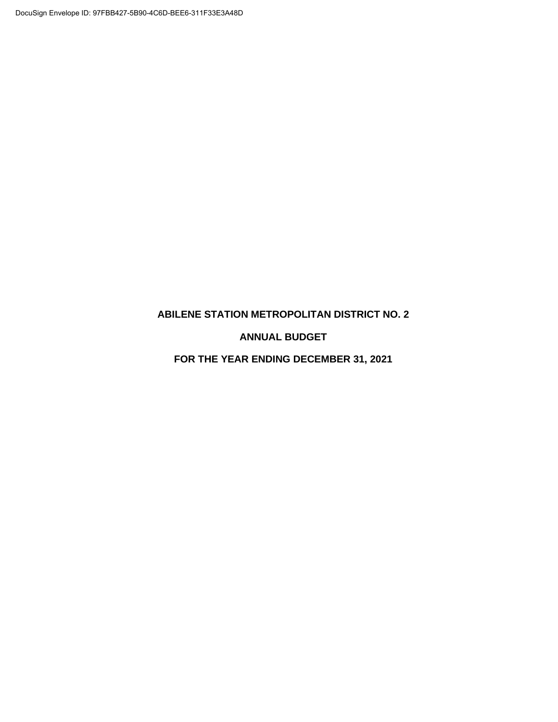### **ABILENE STATION METROPOLITAN DISTRICT NO. 2**

**ANNUAL BUDGET** 

**FOR THE YEAR ENDING DECEMBER 31, 2021**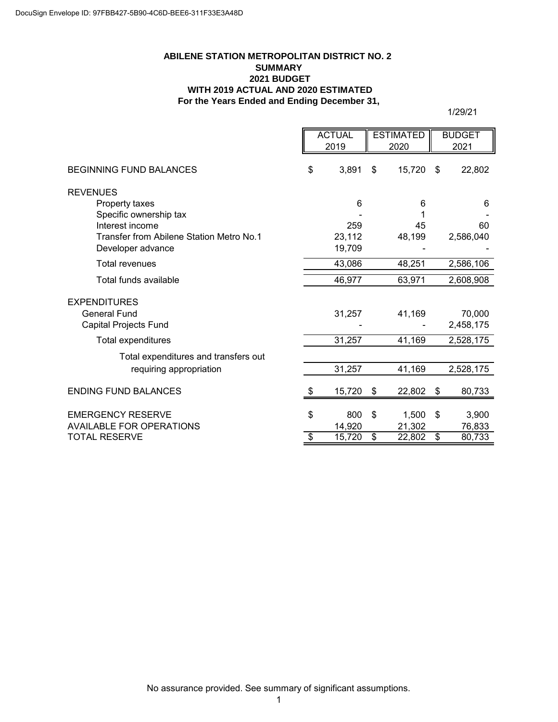#### **ABILENE STATION METROPOLITAN DISTRICT NO. 2 SUMMARY 2021 BUDGET WITH 2019 ACTUAL AND 2020 ESTIMATED For the Years Ended and Ending December 31,**

|                                          | <b>ACTUAL</b> |      | <b>ESTIMATED</b> |    | <b>BUDGET</b> |
|------------------------------------------|---------------|------|------------------|----|---------------|
|                                          | 2019          | 2020 |                  |    | 2021          |
| <b>BEGINNING FUND BALANCES</b>           | \$<br>3,891   | \$   | 15,720           | \$ | 22,802        |
| <b>REVENUES</b>                          |               |      |                  |    |               |
| Property taxes                           | 6             |      | 6                |    | 6             |
| Specific ownership tax                   |               |      |                  |    |               |
| Interest income                          | 259           |      | 45               |    | 60            |
| Transfer from Abilene Station Metro No.1 | 23,112        |      | 48,199           |    | 2,586,040     |
| Developer advance                        | 19,709        |      |                  |    |               |
| <b>Total revenues</b>                    | 43,086        |      | 48,251           |    | 2,586,106     |
| Total funds available                    | 46,977        |      | 63,971           |    | 2,608,908     |
| <b>EXPENDITURES</b>                      |               |      |                  |    |               |
| <b>General Fund</b>                      | 31,257        |      | 41,169           |    | 70,000        |
| Capital Projects Fund                    |               |      |                  |    | 2,458,175     |
| Total expenditures                       | 31,257        |      | 41,169           |    | 2,528,175     |
| Total expenditures and transfers out     |               |      |                  |    |               |
| requiring appropriation                  | 31,257        |      | 41,169           |    | 2,528,175     |
| <b>ENDING FUND BALANCES</b>              | \$<br>15,720  | \$   | 22,802           | \$ | 80,733        |
|                                          |               |      |                  |    |               |
| <b>EMERGENCY RESERVE</b>                 | \$<br>800     | \$   | 1,500            | \$ | 3,900         |
| <b>AVAILABLE FOR OPERATIONS</b>          | 14,920        |      | 21,302           |    | 76,833        |
| <b>TOTAL RESERVE</b>                     | \$<br>15,720  | \$   | 22,802           | \$ | 80,733        |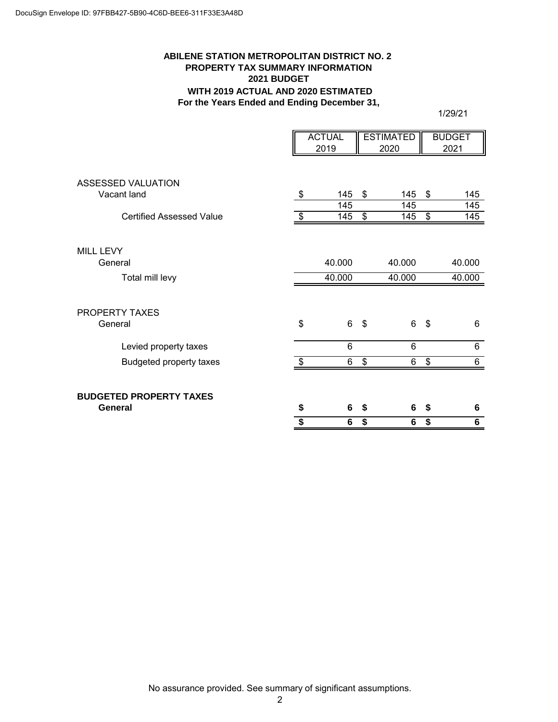#### **ABILENE STATION METROPOLITAN DISTRICT NO. 2 PROPERTY TAX SUMMARY INFORMATION 2021 BUDGET WITH 2019 ACTUAL AND 2020 ESTIMATED For the Years Ended and Ending December 31,**

|                                           | <b>ACTUAL</b>  |                  | <b>ESTIMATED</b> |        | <b>BUDGET</b> |                  |
|-------------------------------------------|----------------|------------------|------------------|--------|---------------|------------------|
|                                           |                | 2019             |                  | 2020   |               | 2021             |
| <b>ASSESSED VALUATION</b>                 |                |                  |                  |        |               |                  |
| Vacant land                               | $\sqrt[6]{2}$  | 145              | \$               | 145    | \$            | 145              |
|                                           |                | $\overline{145}$ |                  | 145    |               | 145              |
| <b>Certified Assessed Value</b>           | $\frac{1}{2}$  | 145              | \$               | 145    | \$            | $\overline{145}$ |
| MILL LEVY                                 |                |                  |                  |        |               |                  |
| General                                   |                | 40.000           |                  | 40.000 |               | 40.000           |
| Total mill levy                           |                | 40.000           |                  | 40.000 |               | 40.000           |
| <b>PROPERTY TAXES</b><br>General          | \$             | 6                | \$               | 6      | - \$          | 6                |
| Levied property taxes                     |                | 6                |                  | 6      |               | 6                |
| <b>Budgeted property taxes</b>            | $\mathfrak{F}$ | 6                | \$               | 6      | \$            | 6                |
| <b>BUDGETED PROPERTY TAXES</b><br>General | \$             | 6                | \$               | 6      | \$            | 6                |
|                                           | \$             | 6                | \$               | 6      | \$            | 6                |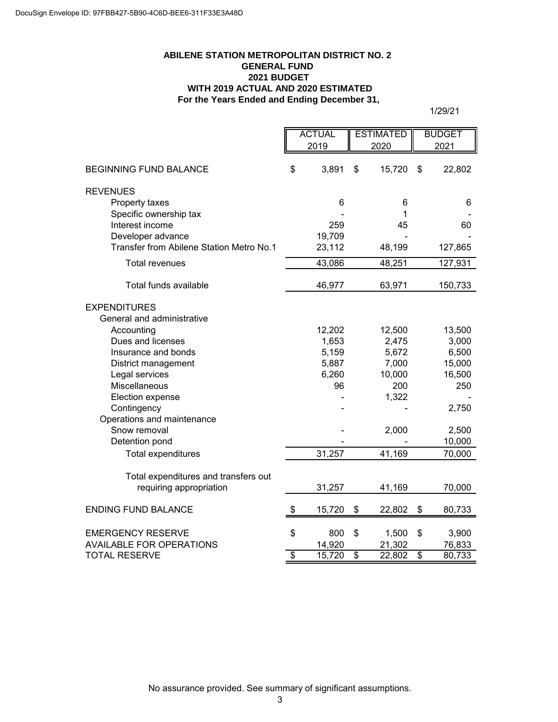#### **For the Years Ended and Ending December 31, ABILENE STATION METROPOLITAN DISTRICT NO. 2 GENERAL FUND 2021 BUDGET WITH 2019 ACTUAL AND 2020 ESTIMATED**

|                                          | <b>ACTUAL</b> |        | <b>ESTIMATED</b>         |        |    | <b>BUDGET</b> |
|------------------------------------------|---------------|--------|--------------------------|--------|----|---------------|
|                                          |               | 2019   | 2020                     |        |    | 2021          |
|                                          |               |        |                          |        |    |               |
| <b>BEGINNING FUND BALANCE</b>            | \$            | 3,891  | \$                       | 15,720 | \$ | 22,802        |
| <b>REVENUES</b>                          |               |        |                          |        |    |               |
| Property taxes                           |               | 6      |                          | 6      |    | 6             |
| Specific ownership tax                   |               |        |                          | 1      |    |               |
| Interest income                          |               | 259    |                          | 45     |    | 60            |
| Developer advance                        |               | 19,709 |                          |        |    |               |
| Transfer from Abilene Station Metro No.1 |               | 23,112 |                          | 48,199 |    | 127,865       |
| <b>Total revenues</b>                    |               | 43,086 |                          | 48,251 |    | 127,931       |
| Total funds available                    |               | 46,977 |                          | 63,971 |    | 150,733       |
| <b>EXPENDITURES</b>                      |               |        |                          |        |    |               |
| General and administrative               |               |        |                          |        |    |               |
| Accounting                               |               | 12,202 |                          | 12,500 |    | 13,500        |
| Dues and licenses                        |               | 1,653  |                          | 2,475  |    | 3,000         |
| Insurance and bonds                      |               | 5,159  |                          | 5,672  |    | 6,500         |
| District management                      |               | 5,887  |                          | 7,000  |    | 15,000        |
| Legal services                           |               | 6,260  |                          | 10,000 |    | 16,500        |
| Miscellaneous                            |               | 96     |                          | 200    |    | 250           |
| Election expense                         |               |        |                          | 1,322  |    |               |
| Contingency                              |               |        |                          |        |    | 2,750         |
| Operations and maintenance               |               |        |                          |        |    |               |
| Snow removal                             |               |        |                          | 2,000  |    | 2,500         |
| Detention pond                           |               |        |                          |        |    | 10,000        |
| Total expenditures                       |               | 31,257 |                          | 41,169 |    | 70,000        |
| Total expenditures and transfers out     |               |        |                          |        |    |               |
| requiring appropriation                  |               | 31,257 |                          | 41,169 |    | 70,000        |
| <b>ENDING FUND BALANCE</b>               | \$            | 15,720 | \$                       | 22,802 | \$ | 80,733        |
|                                          |               |        |                          |        |    |               |
| <b>EMERGENCY RESERVE</b>                 | \$            | 800    | \$                       | 1,500  | \$ | 3,900         |
| <b>AVAILABLE FOR OPERATIONS</b>          |               | 14,920 |                          | 21,302 |    | 76,833        |
| <b>TOTAL RESERVE</b>                     | \$            | 15,720 | $\overline{\mathcal{S}}$ | 22,802 | \$ | 80,733        |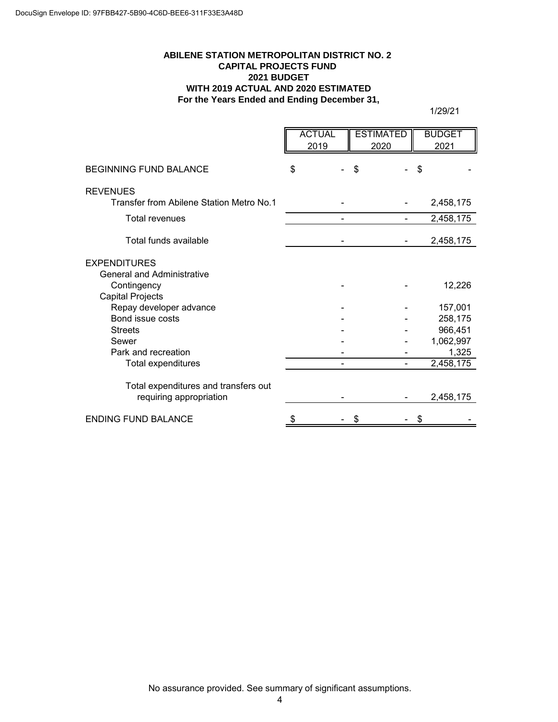#### **ABILENE STATION METROPOLITAN DISTRICT NO. 2 CAPITAL PROJECTS FUND 2021 BUDGET WITH 2019 ACTUAL AND 2020 ESTIMATED For the Years Ended and Ending December 31,**

|                                          | <b>ACTUAL</b><br>2019 | <b>ESTIMATED</b><br>2020 | <b>BUDGET</b><br>2021 |
|------------------------------------------|-----------------------|--------------------------|-----------------------|
| <b>BEGINNING FUND BALANCE</b>            | \$                    | \$                       | \$                    |
| <b>REVENUES</b>                          |                       |                          |                       |
| Transfer from Abilene Station Metro No.1 |                       |                          | 2,458,175             |
| Total revenues                           |                       |                          | 2,458,175             |
| Total funds available                    |                       |                          | 2,458,175             |
| <b>EXPENDITURES</b>                      |                       |                          |                       |
| <b>General and Administrative</b>        |                       |                          |                       |
| Contingency                              |                       |                          | 12,226                |
| <b>Capital Projects</b>                  |                       |                          |                       |
| Repay developer advance                  |                       |                          | 157,001               |
| Bond issue costs                         |                       |                          | 258,175               |
| <b>Streets</b>                           |                       |                          | 966,451               |
| Sewer                                    |                       |                          | 1,062,997             |
| Park and recreation                      |                       |                          | 1,325                 |
| Total expenditures                       |                       |                          | $\sqrt{2,}458,175$    |
| Total expenditures and transfers out     |                       |                          |                       |
| requiring appropriation                  |                       |                          | 2,458,175             |
| <b>ENDING FUND BALANCE</b>               | \$                    | \$                       | \$                    |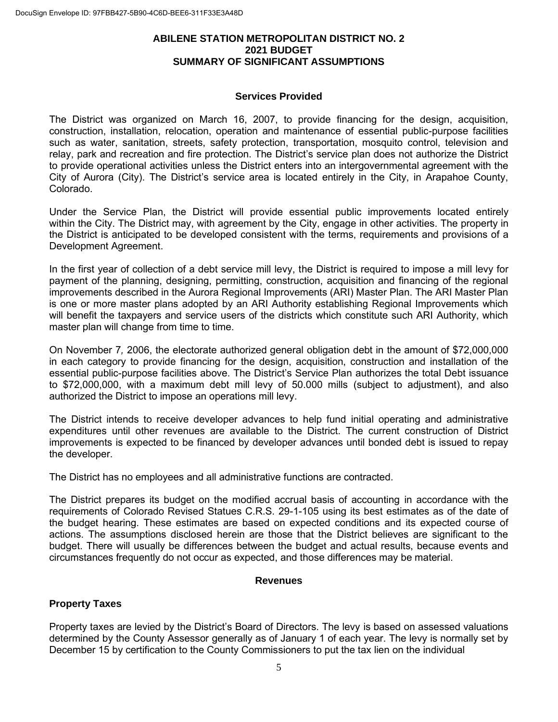#### **ABILENE STATION METROPOLITAN DISTRICT NO. 2 2021 BUDGET SUMMARY OF SIGNIFICANT ASSUMPTIONS**

#### **Services Provided**

The District was organized on March 16, 2007, to provide financing for the design, acquisition, construction, installation, relocation, operation and maintenance of essential public-purpose facilities such as water, sanitation, streets, safety protection, transportation, mosquito control, television and relay, park and recreation and fire protection. The District's service plan does not authorize the District to provide operational activities unless the District enters into an intergovernmental agreement with the City of Aurora (City). The District's service area is located entirely in the City, in Arapahoe County, Colorado.

Under the Service Plan, the District will provide essential public improvements located entirely within the City. The District may, with agreement by the City, engage in other activities. The property in the District is anticipated to be developed consistent with the terms, requirements and provisions of a Development Agreement.

In the first year of collection of a debt service mill levy, the District is required to impose a mill levy for payment of the planning, designing, permitting, construction, acquisition and financing of the regional improvements described in the Aurora Regional Improvements (ARI) Master Plan. The ARI Master Plan is one or more master plans adopted by an ARI Authority establishing Regional Improvements which will benefit the taxpayers and service users of the districts which constitute such ARI Authority, which master plan will change from time to time.

On November 7*,* 2006, the electorate authorized general obligation debt in the amount of \$72,000,000 in each category to provide financing for the design, acquisition, construction and installation of the essential public-purpose facilities above. The District's Service Plan authorizes the total Debt issuance to \$72,000,000, with a maximum debt mill levy of 50.000 mills (subject to adjustment), and also authorized the District to impose an operations mill levy.

The District intends to receive developer advances to help fund initial operating and administrative expenditures until other revenues are available to the District. The current construction of District improvements is expected to be financed by developer advances until bonded debt is issued to repay the developer.

The District has no employees and all administrative functions are contracted.

The District prepares its budget on the modified accrual basis of accounting in accordance with the requirements of Colorado Revised Statues C.R.S. 29-1-105 using its best estimates as of the date of the budget hearing. These estimates are based on expected conditions and its expected course of actions. The assumptions disclosed herein are those that the District believes are significant to the budget. There will usually be differences between the budget and actual results, because events and circumstances frequently do not occur as expected, and those differences may be material.

#### **Revenues**

#### **Property Taxes**

Property taxes are levied by the District's Board of Directors. The levy is based on assessed valuations determined by the County Assessor generally as of January 1 of each year. The levy is normally set by December 15 by certification to the County Commissioners to put the tax lien on the individual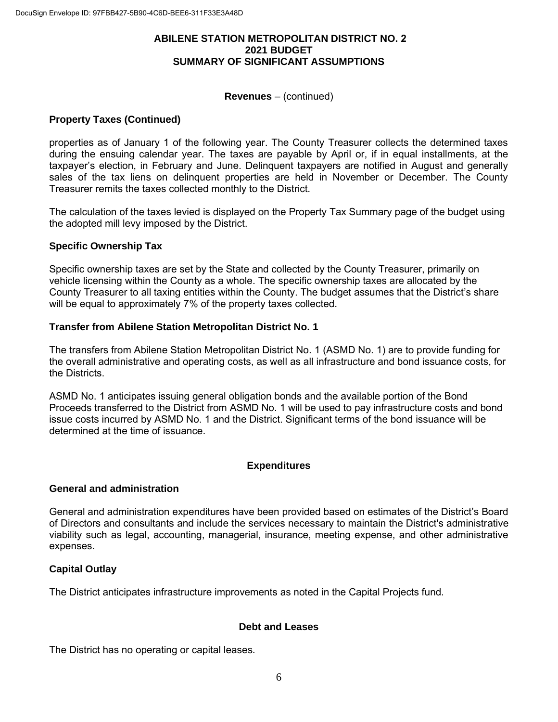#### **ABILENE STATION METROPOLITAN DISTRICT NO. 2 2021 BUDGET SUMMARY OF SIGNIFICANT ASSUMPTIONS**

#### **Revenues** – (continued)

#### **Property Taxes (Continued)**

properties as of January 1 of the following year. The County Treasurer collects the determined taxes during the ensuing calendar year. The taxes are payable by April or, if in equal installments, at the taxpayer's election, in February and June. Delinquent taxpayers are notified in August and generally sales of the tax liens on delinquent properties are held in November or December. The County Treasurer remits the taxes collected monthly to the District.

The calculation of the taxes levied is displayed on the Property Tax Summary page of the budget using the adopted mill levy imposed by the District.

#### **Specific Ownership Tax**

Specific ownership taxes are set by the State and collected by the County Treasurer, primarily on vehicle licensing within the County as a whole. The specific ownership taxes are allocated by the County Treasurer to all taxing entities within the County. The budget assumes that the District's share will be equal to approximately 7% of the property taxes collected.

#### **Transfer from Abilene Station Metropolitan District No. 1**

The transfers from Abilene Station Metropolitan District No. 1 (ASMD No. 1) are to provide funding for the overall administrative and operating costs, as well as all infrastructure and bond issuance costs, for the Districts.

ASMD No. 1 anticipates issuing general obligation bonds and the available portion of the Bond Proceeds transferred to the District from ASMD No. 1 will be used to pay infrastructure costs and bond issue costs incurred by ASMD No. 1 and the District. Significant terms of the bond issuance will be determined at the time of issuance.

#### **Expenditures**

#### **General and administration**

General and administration expenditures have been provided based on estimates of the District's Board of Directors and consultants and include the services necessary to maintain the District's administrative viability such as legal, accounting, managerial, insurance, meeting expense, and other administrative expenses.

#### **Capital Outlay**

The District anticipates infrastructure improvements as noted in the Capital Projects fund.

#### **Debt and Leases**

The District has no operating or capital leases.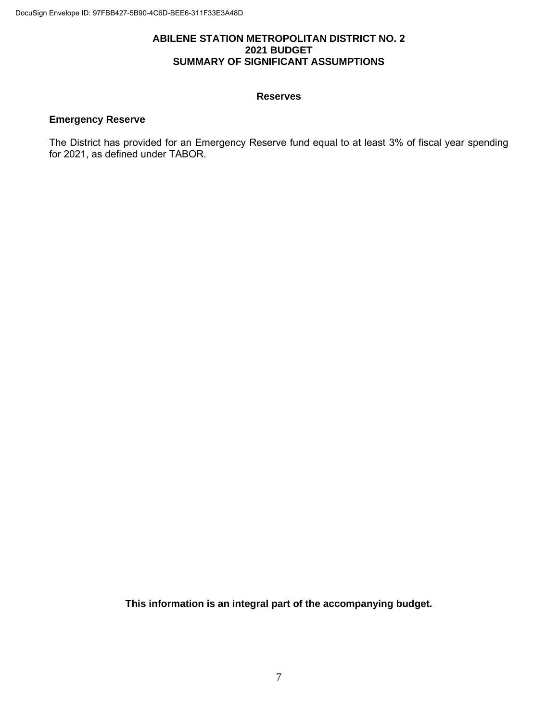#### **ABILENE STATION METROPOLITAN DISTRICT NO. 2 2021 BUDGET SUMMARY OF SIGNIFICANT ASSUMPTIONS**

#### **Reserves**

### **Emergency Reserve**

The District has provided for an Emergency Reserve fund equal to at least 3% of fiscal year spending for 2021, as defined under TABOR.

**This information is an integral part of the accompanying budget.**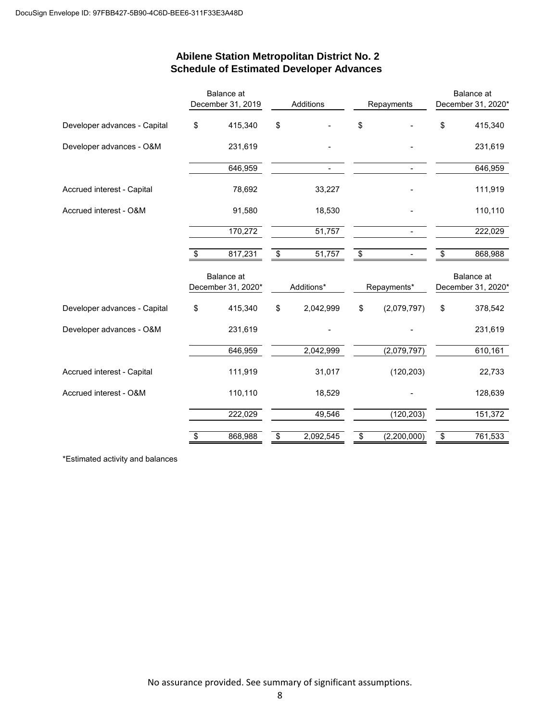# Balance at **Balance** at **Balance** at **Balance** at **Balance** at December 31, 2019 Additions Repayments December 31, 2020\* Developer advances - Capital \$ 415,340 \$ - \$ - \$ 415,340 Developer advances - O&M 231,619 - - 231,619 646,959 646,959 Accrued interest - Capital 2010 111,919 78,692 33,227 33,227 35,227 36692 33,227 36692 37,227 37,692 37,227 37,692 37,227 37,692 37,227 37,227 37,692 37,227 37,692 37,227 37,227 37,227 37,227 37,227 37,227 37,227 37,227 37 Accrued interest - O&M 91,580 18,530 - 110,110 170,272 51,757 51,757 222,029 \$ 817,231 \$ 51,757 \$ - \$ 868,988 Balance at **Balance at Selection** Contract at **Balance** at **Balance** at **Balance** at December 31, 2020\* Additions\* Repayments\* December 31, 2020\* Developer advances - Capital \$ 415,340 \$ 2,042,999 \$ (2,079,797) \$ 378,542 Developer advances - O&M 231,619 - - 231,619 646,959 2,042,999 (2,079,797) 610,161 Accrued interest - Capital 111,919 31,017 (120,203) 32,733 Accrued interest - O&M 110,110 18,529 - 128,639 222,029 49,546 (120,203) 151,372 \$ 868,988 \$ 2,092,545 \$ (2,200,000) \$ 761,533

#### **Abilene Station Metropolitan District No. 2 Schedule of Estimated Developer Advances**

\*Estimated activity and balances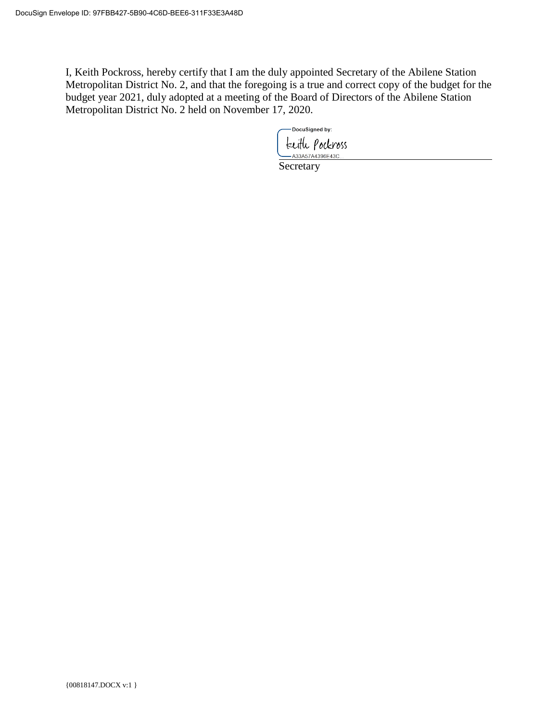I, Keith Pockross, hereby certify that I am the duly appointed Secretary of the Abilene Station Metropolitan District No. 2, and that the foregoing is a true and correct copy of the budget for the budget year 2021, duly adopted at a meeting of the Board of Directors of the Abilene Station Metropolitan District No. 2 held on November 17, 2020.

- DocuSigned by:

Euth *Podeross*<br>Secretary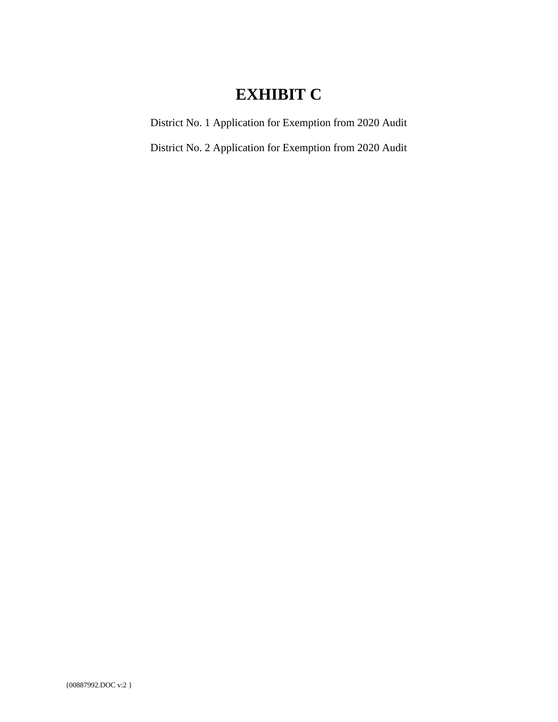# **EXHIBIT C**

District No. 1 Application for Exemption from 2020 Audit

District No. 2 Application for Exemption from 2020 Audit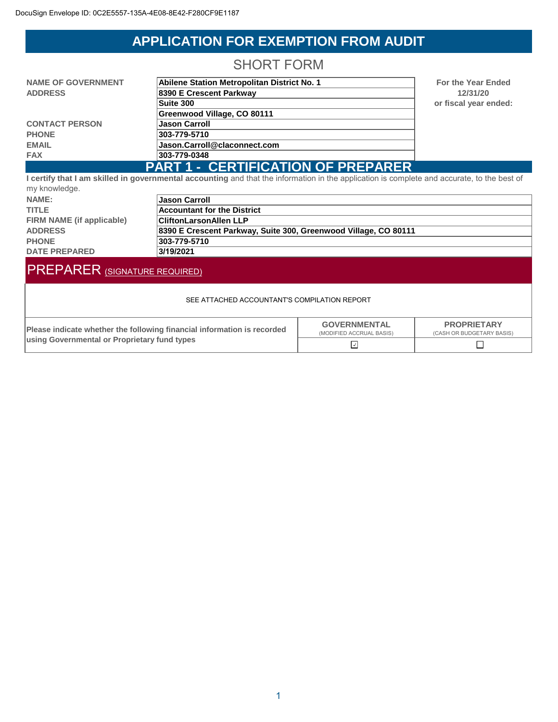# **APPLICATION FOR EXEMPTION FROM AUDIT**

## SHORT FORM

<span id="page-27-0"></span>

| <b>NAME OF GOVERNMENT</b> | Abilene Station Metropolitan District No. 1 |  |
|---------------------------|---------------------------------------------|--|
| <b>ADDRESS</b>            | 8390 E Crescent Parkway                     |  |
|                           | Suite 300                                   |  |
|                           | Greenwood Village, CO 80111                 |  |
| <b>CONTACT PERSON</b>     | <b>Jason Carroll</b>                        |  |
| <b>PHONE</b>              | 303-779-5710                                |  |
| <b>EMAIL</b>              | Jason.Carroll@claconnect.com                |  |
| <b>FAX</b>                | 303-779-0348                                |  |
|                           | PART 1 - CERTIFICATION OF PREPARER          |  |

**For the Year Ended 12/31/20 Suite 300 or fiscal year ended:**

**PART 1 - CERTIFICATION OF PREPARER I certify that I am skilled in governmental accounting** and that the information in the application is complete and accurate, to the best of my knowledge.

| <u>my nnownougo.</u>      |                                                                 |
|---------------------------|-----------------------------------------------------------------|
| NAME:                     | <b>Jason Carroll</b>                                            |
| <b>TITLE</b>              | Accountant for the District                                     |
| FIRM NAME (if applicable) | <b>CliftonLarsonAllen LLP</b>                                   |
| <b>ADDRESS</b>            | 8390 E Crescent Parkway, Suite 300, Greenwood Village, CO 80111 |
| <b>PHONE</b>              | 303-779-5710                                                    |
| <b>DATE PREPARED</b>      | 3/19/2021                                                       |

# PREPARER (SIGNATURE REQUIRED)

#### SEE ATTACHED ACCOUNTANT'S COMPILATION REPORT

| Please indicate whether the following financial information is recorded | <b>GOVERNMENTAL</b><br>(MODIFIED ACCRUAL BASIS) | <b>PROPRIETARY</b><br>(CASH OR BUDGETARY BASIS) |
|-------------------------------------------------------------------------|-------------------------------------------------|-------------------------------------------------|
| using Governmental or Proprietary fund types                            |                                                 |                                                 |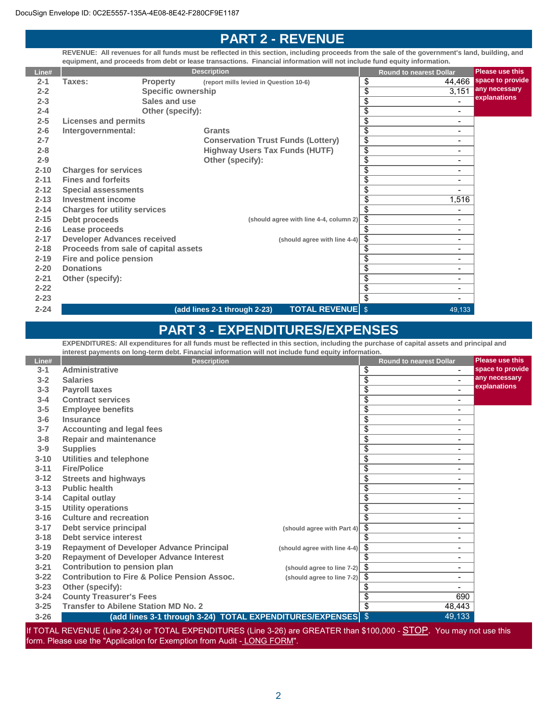## **PART 2 - REVENUE**

**REVENUE: All revenues for all funds must be reflected in this section, including proceeds from the sale of the government's land, building, and equipment, and proceeds from debt or lease transactions. Financial information will not include fund equity information.**

| Line#    |                                      |                           | <b>Description</b>                                      |                 | <b>Round to nearest Dollar</b> | <b>Please use this</b> |
|----------|--------------------------------------|---------------------------|---------------------------------------------------------|-----------------|--------------------------------|------------------------|
| $2 - 1$  | Taxes:                               | <b>Property</b>           | (report mills levied in Question 10-6)                  | \$              | 44,466                         | space to provide       |
| $2 - 2$  |                                      | <b>Specific ownership</b> |                                                         | $\overline{\$}$ | 3,151                          | any necessary          |
| $2 - 3$  |                                      | Sales and use             |                                                         | $\overline{\$}$ |                                | explanations           |
| $2 - 4$  |                                      | Other (specify):          |                                                         | $\overline{\$}$ | ۰                              |                        |
| $2 - 5$  | <b>Licenses and permits</b>          |                           |                                                         | $\overline{\$}$ | $\qquad \qquad \blacksquare$   |                        |
| $2 - 6$  | Intergovernmental:                   |                           | <b>Grants</b>                                           | $\overline{\$}$ | $\overline{\phantom{0}}$       |                        |
| $2 - 7$  |                                      |                           | <b>Conservation Trust Funds (Lottery)</b>               | $\overline{\$}$ | $\overline{\phantom{0}}$       |                        |
| $2 - 8$  |                                      |                           | <b>Highway Users Tax Funds (HUTF)</b>                   | $\overline{\$}$ | $\overline{\phantom{0}}$       |                        |
| $2 - 9$  |                                      |                           | Other (specify):                                        | $\overline{\$}$ | $\blacksquare$                 |                        |
| $2 - 10$ | <b>Charges for services</b>          |                           |                                                         | $\overline{\$}$ | $\overline{\phantom{0}}$       |                        |
| $2 - 11$ | <b>Fines and forfeits</b>            |                           |                                                         | $\overline{\$}$ | $\overline{\phantom{0}}$       |                        |
| $2 - 12$ | <b>Special assessments</b>           |                           |                                                         | $\overline{\$}$ |                                |                        |
| $2 - 13$ | <b>Investment income</b>             |                           |                                                         | \$              | 1,516                          |                        |
| $2 - 14$ | <b>Charges for utility services</b>  |                           |                                                         | \$              | $\blacksquare$                 |                        |
| $2 - 15$ | Debt proceeds                        |                           | (should agree with line 4-4, column 2)                  | \$              | $\qquad \qquad \blacksquare$   |                        |
| $2 - 16$ | Lease proceeds                       |                           |                                                         | \$              | $\overline{\phantom{0}}$       |                        |
| $2 - 17$ | <b>Developer Advances received</b>   |                           | (should agree with line 4-4)                            | \$              | $\overline{\phantom{0}}$       |                        |
| $2 - 18$ | Proceeds from sale of capital assets |                           |                                                         | \$              | $\qquad \qquad \blacksquare$   |                        |
| $2 - 19$ | Fire and police pension              |                           |                                                         | \$              | $\qquad \qquad \blacksquare$   |                        |
| $2 - 20$ | <b>Donations</b>                     |                           |                                                         | $\overline{\$}$ | $\overline{\phantom{0}}$       |                        |
| $2 - 21$ | Other (specify):                     |                           |                                                         | $\overline{\$}$ | $\qquad \qquad \blacksquare$   |                        |
| $2 - 22$ |                                      |                           |                                                         | $\overline{\$}$ | $\qquad \qquad \blacksquare$   |                        |
| $2 - 23$ |                                      |                           |                                                         | $\overline{\$}$ | -                              |                        |
| $2 - 24$ |                                      |                           | <b>TOTAL REVENUE</b> \$<br>(add lines 2-1 through 2-23) |                 | 49,133                         |                        |

## **PART 3 - EXPENDITURES/EXPENSES**

**EXPENDITURES: All expenditures for all funds must be reflected in this section, including the purchase of capital assets and principal and interest payments on long-term debt. Financial information will not include fund equity information.**

| Line#    | <b>Description</b>                                                  |                              | <b>Round to nearest Dollar</b>              | <b>Please use this</b> |
|----------|---------------------------------------------------------------------|------------------------------|---------------------------------------------|------------------------|
| $3 - 1$  | <b>Administrative</b>                                               |                              | \$<br>$\blacksquare$                        | space to provide       |
| $3 - 2$  | <b>Salaries</b>                                                     |                              | \$<br>$\blacksquare$                        | any necessary          |
| $3 - 3$  | <b>Payroll taxes</b>                                                |                              | \$<br>$\blacksquare$                        | explanations           |
| $3 - 4$  | <b>Contract services</b>                                            |                              | \$<br>٠                                     |                        |
| $3 - 5$  | <b>Employee benefits</b>                                            |                              | \$<br>$\qquad \qquad \blacksquare$          |                        |
| $3-6$    | <b>Insurance</b>                                                    |                              | $\overline{\$}$<br>$\overline{\phantom{0}}$ |                        |
| $3 - 7$  | <b>Accounting and legal fees</b>                                    |                              | \$<br>$\overline{\phantom{0}}$              |                        |
| $3 - 8$  | <b>Repair and maintenance</b>                                       |                              | $\overline{\$}$<br>٠                        |                        |
| $3 - 9$  | <b>Supplies</b>                                                     |                              | $\overline{\$}$<br>-                        |                        |
| $3 - 10$ | Utilities and telephone                                             |                              | \$<br>۰                                     |                        |
| $3 - 11$ | <b>Fire/Police</b>                                                  |                              | \$<br>-                                     |                        |
| $3 - 12$ | <b>Streets and highways</b>                                         |                              | $\overline{\$}$<br>٠                        |                        |
| $3 - 13$ | <b>Public health</b>                                                |                              | $\overline{\$}$<br>$\overline{\phantom{0}}$ |                        |
| $3 - 14$ | <b>Capital outlay</b>                                               |                              | \$<br>$\overline{\phantom{0}}$              |                        |
| $3 - 15$ | <b>Utility operations</b>                                           |                              | \$<br>٠                                     |                        |
| $3 - 16$ | <b>Culture and recreation</b>                                       |                              | \$<br>Ξ.                                    |                        |
| $3 - 17$ | Debt service principal                                              | (should agree with Part 4)   | \$<br>Ξ.                                    |                        |
| $3 - 18$ | Debt service interest                                               |                              | \$<br>۰                                     |                        |
| $3 - 19$ | <b>Repayment of Developer Advance Principal</b>                     | (should agree with line 4-4) | \$<br>-                                     |                        |
| $3 - 20$ | <b>Repayment of Developer Advance Interest</b>                      |                              | \$<br>Ξ.                                    |                        |
| $3 - 21$ | Contribution to pension plan                                        | (should agree to line 7-2)   | \$<br>$\overline{\phantom{0}}$              |                        |
| $3 - 22$ | <b>Contribution to Fire &amp; Police Pension Assoc.</b>             | (should agree to line 7-2)   | \$<br>٠                                     |                        |
| $3 - 23$ | Other (specify):                                                    |                              | \$<br>-                                     |                        |
| $3 - 24$ | <b>County Treasurer's Fees</b>                                      |                              | $\overline{\$}$<br>690                      |                        |
| $3 - 25$ | <b>Transfer to Abilene Station MD No. 2</b>                         |                              | \$<br>48,443                                |                        |
| $3 - 26$ | (add lines 3-1 through 3-24)  TOTAL EXPENDITURES/EXPENSES $\mid$ \$ |                              | 49,133                                      |                        |

If TOTAL REVENUE (Line 2-24) or TOTAL EXPENDITURES (Line 3-26) are GREATER than \$100,000 - **STOP**. You may not use this form. Please use the "Application for Exemption from Audit - LONG FORM".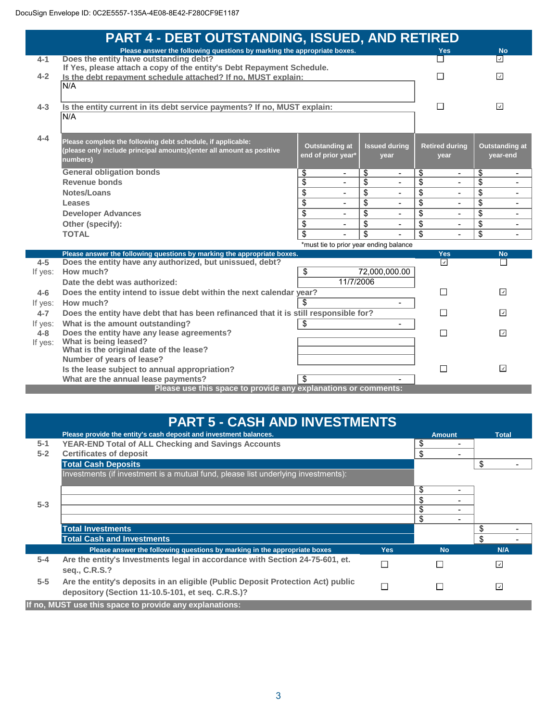|         | PART 4 - DEBT OUTSTANDING, ISSUED, AND RETIRED                                       |                                        |                            |                                      |                                      |
|---------|--------------------------------------------------------------------------------------|----------------------------------------|----------------------------|--------------------------------------|--------------------------------------|
|         | Please answer the following questions by marking the appropriate boxes.              |                                        |                            | <b>Yes</b>                           | <b>No</b>                            |
| $4 - 1$ | Does the entity have outstanding debt?                                               |                                        |                            |                                      | ⊡                                    |
| $4 - 2$ | If Yes, please attach a copy of the entity's Debt Repayment Schedule.                |                                        |                            | П                                    | $\overline{\mathcal{L}}$             |
|         | Is the debt repayment schedule attached? If no, MUST explain:<br>N/A                 |                                        |                            |                                      |                                      |
|         |                                                                                      |                                        |                            |                                      |                                      |
| $4 - 3$ | Is the entity current in its debt service payments? If no, MUST explain:             |                                        |                            | П                                    | ⊡                                    |
|         | N/A                                                                                  |                                        |                            |                                      |                                      |
|         |                                                                                      |                                        |                            |                                      |                                      |
| $4 - 4$ |                                                                                      |                                        |                            |                                      |                                      |
|         | Please complete the following debt schedule, if applicable:                          | <b>Outstanding at</b>                  | <b>Issued during</b>       | <b>Retired during</b>                | <b>Outstanding at</b>                |
|         | (please only include principal amounts)(enter all amount as positive<br>numbers)     | end of prior year*                     | vear                       | year                                 | year-end                             |
|         |                                                                                      |                                        |                            |                                      |                                      |
|         | <b>General obligation bonds</b><br>Revenue bonds                                     | \$<br>$\blacksquare$                   | \$<br>$\blacksquare$<br>\$ | \$<br>$\overline{\phantom{0}}$<br>\$ | \$<br>$\overline{\phantom{a}}$<br>\$ |
|         | Notes/Loans                                                                          | \$<br>\$                               | ÷<br>\$                    | $\blacksquare$<br>\$                 | -<br>\$                              |
|         |                                                                                      | $\blacksquare$                         | $\blacksquare$             |                                      | $\blacksquare$                       |
|         | Leases                                                                               | \$<br>$\sim$                           | \$<br>÷                    | \$<br>$\sim$                         | \$<br>$\blacksquare$                 |
|         | <b>Developer Advances</b>                                                            | \$<br>$\overline{a}$                   | $\overline{\$}$            | $\overline{\$}$                      | $\overline{\$}$<br>$\blacksquare$    |
|         | Other (specify):                                                                     | \$                                     | \$                         | \$                                   | \$<br>$\blacksquare$                 |
|         | <b>TOTAL</b>                                                                         | \$                                     | \$                         | \$                                   | \$<br>$\overline{a}$                 |
|         | Please answer the following questions by marking the appropriate boxes.              | *must tie to prior year ending balance |                            | <b>Yes</b>                           | <b>No</b>                            |
| $4 - 5$ | Does the entity have any authorized, but unissued, debt?                             |                                        |                            | $\boxed{\triangledown}$              | П                                    |
| If yes: | How much?                                                                            | \$                                     | 72,000,000.00              |                                      |                                      |
|         | Date the debt was authorized:                                                        | 11/7/2006                              |                            |                                      |                                      |
| $4 - 6$ | Does the entity intend to issue debt within the next calendar year?                  |                                        |                            | $\Box$                               | $\overline{\phantom{a}}$             |
| If yes: | How much?                                                                            |                                        |                            |                                      |                                      |
| $4 - 7$ | Does the entity have debt that has been refinanced that it is still responsible for? |                                        |                            | П                                    | $\overline{ }$                       |
| If yes: | What is the amount outstanding?                                                      | \$                                     | $\blacksquare$             |                                      |                                      |
| $4 - 8$ | Does the entity have any lease agreements?                                           |                                        |                            | П                                    | ⊡                                    |
| If yes: | What is being leased?                                                                |                                        |                            |                                      |                                      |
|         | What is the original date of the lease?                                              |                                        |                            |                                      |                                      |
|         | Number of years of lease?                                                            |                                        |                            |                                      |                                      |
|         | Is the lease subject to annual appropriation?                                        |                                        |                            | П                                    | $\overline{\phantom{a}}$             |
|         | What are the annual lease payments?                                                  | \$                                     |                            |                                      |                                      |
|         | Please use this space to provide any explanations or comments:                       |                                        |                            |                                      |                                      |

|                    | <b>PART 5 - CASH AND INVESTMENTS</b>                                                                                                 |            |               |                |
|--------------------|--------------------------------------------------------------------------------------------------------------------------------------|------------|---------------|----------------|
|                    | Please provide the entity's cash deposit and investment balances.                                                                    |            | <b>Amount</b> | <b>Total</b>   |
| $5 - 1$<br>$5 - 2$ | <b>YEAR-END Total of ALL Checking and Savings Accounts</b><br><b>Certificates of deposit</b>                                         |            | \$<br>\$      |                |
|                    | <b>Total Cash Deposits</b>                                                                                                           |            |               | \$             |
|                    | Investments (if investment is a mutual fund, please list underlying investments):                                                    |            |               |                |
|                    |                                                                                                                                      |            | \$            |                |
| $5 - 3$            |                                                                                                                                      |            | \$            |                |
|                    |                                                                                                                                      |            | \$            |                |
|                    |                                                                                                                                      |            | \$<br>-       |                |
|                    | <b>Total Investments</b>                                                                                                             |            |               | \$             |
|                    | <b>Total Cash and Investments</b>                                                                                                    |            |               | \$             |
|                    | Please answer the following questions by marking in the appropriate boxes                                                            | <b>Yes</b> | <b>No</b>     | N/A            |
| $5-4$              | Are the entity's Investments legal in accordance with Section 24-75-601, et.<br>seq., C.R.S.?                                        | П          |               | $\overline{ }$ |
| $5 - 5$            | Are the entity's deposits in an eligible (Public Deposit Protection Act) public<br>depository (Section 11-10.5-101, et seq. C.R.S.)? | П          | г             | ☑              |
|                    | If no, MUST use this space to provide any explanations:                                                                              |            |               |                |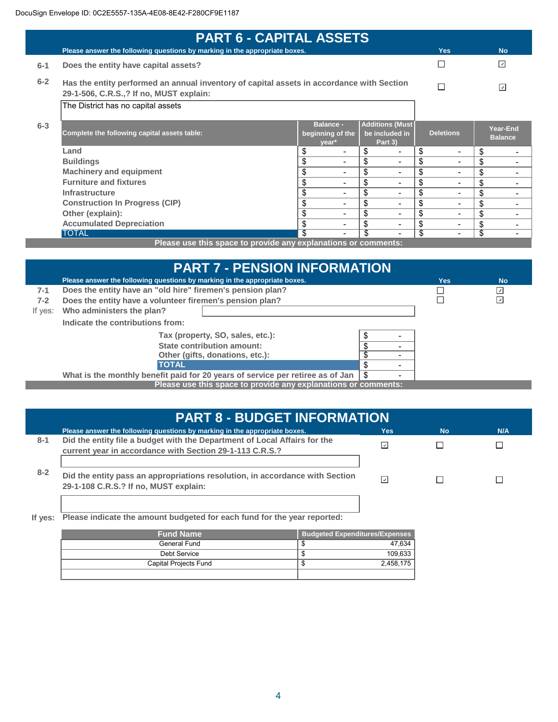|         | <b>PART 6 - CAPITAL ASSETS</b>                                                                                                       |                                               |                                                     |                                |                            |
|---------|--------------------------------------------------------------------------------------------------------------------------------------|-----------------------------------------------|-----------------------------------------------------|--------------------------------|----------------------------|
|         | Please answer the following questions by marking in the appropriate boxes.                                                           |                                               |                                                     | <b>Yes</b>                     | <b>No</b>                  |
| $6 - 1$ | Does the entity have capital assets?                                                                                                 |                                               |                                                     |                                | $\overline{\mathcal{L}}$   |
| $6 - 2$ | Has the entity performed an annual inventory of capital assets in accordance with Section<br>29-1-506, C.R.S.,? If no, MUST explain: |                                               |                                                     |                                | ☑                          |
|         | The District has no capital assets                                                                                                   |                                               |                                                     |                                |                            |
| $6 - 3$ | Complete the following capital assets table:                                                                                         | <b>Balance -</b><br>beginning of the<br>year* | <b>Additions (Must</b><br>be included in<br>Part 3) | <b>Deletions</b>               | Year-End<br><b>Balance</b> |
|         | Land                                                                                                                                 | \$                                            | \$                                                  | \$<br>$\overline{\phantom{a}}$ | \$                         |
|         | <b>Buildings</b>                                                                                                                     | \$<br>$\overline{\phantom{0}}$                | \$                                                  | \$<br>$\overline{\phantom{0}}$ | \$                         |
|         | <b>Machinery and equipment</b>                                                                                                       | \$<br>$\overline{\phantom{0}}$                | \$<br>۰                                             | \$<br>$\overline{\phantom{0}}$ | \$                         |
|         | <b>Furniture and fixtures</b>                                                                                                        | \$<br>-                                       | \$<br>-                                             | \$<br>$\overline{\phantom{a}}$ | \$                         |
|         | <b>Infrastructure</b>                                                                                                                | \$                                            | \$                                                  | \$<br>$\overline{\phantom{0}}$ | \$                         |
|         | <b>Construction In Progress (CIP)</b>                                                                                                | \$<br>$\overline{\phantom{0}}$                | \$                                                  | \$<br>۰                        | \$                         |
|         | Other (explain):                                                                                                                     | \$<br>-                                       | \$                                                  | \$<br>$\overline{\phantom{0}}$ | \$                         |
|         | <b>Accumulated Depreciation</b>                                                                                                      | \$                                            | \$                                                  | \$<br>$\overline{\phantom{0}}$ | \$                         |
|         | <b>TOTAL</b><br>Discovered the company of consideration and continued by                                                             | \$                                            | \$                                                  | \$<br>$\overline{\phantom{0}}$ | \$                         |

**Please use this space to provide any explanations or comments:**

|         | <b>PART 7 - PENSION INFORMATION</b>                                            |                                |     |                          |
|---------|--------------------------------------------------------------------------------|--------------------------------|-----|--------------------------|
|         | Please answer the following questions by marking in the appropriate boxes.     |                                | Yes | <b>No</b>                |
| $7-1$   | Does the entity have an "old hire" firemen's pension plan?                     |                                |     | ⊻                        |
| $7-2$   | Does the entity have a volunteer firemen's pension plan?                       |                                |     | $\overline{\mathcal{L}}$ |
| If yes: | Who administers the plan?                                                      |                                |     |                          |
|         | Indicate the contributions from:                                               |                                |     |                          |
|         | Tax (property, SO, sales, etc.):                                               |                                |     |                          |
|         | State contribution amount:                                                     |                                |     |                          |
|         | Other (gifts, donations, etc.):                                                |                                |     |                          |
|         | <b>TOTAL</b>                                                                   | \$                             |     |                          |
|         | What is the monthly benefit paid for 20 years of service per retiree as of Jan | \$<br>$\overline{\phantom{0}}$ |     |                          |
|         | Please use this space to provide any explanations or comments:                 |                                |     |                          |

|         | <b>PART 8 - BUDGET INFORMATION</b>                                                                                                    |     |           |     |  |
|---------|---------------------------------------------------------------------------------------------------------------------------------------|-----|-----------|-----|--|
|         | Please answer the following questions by marking in the appropriate boxes.                                                            | Yes | <b>No</b> | N/A |  |
| $8 - 1$ | Did the entity file a budget with the Department of Local Affairs for the<br>current year in accordance with Section 29-1-113 C.R.S.? |     |           |     |  |
| $8 - 2$ | Did the entity pass an appropriations resolution, in accordance with Section<br>29-1-108 C.R.S.? If no, MUST explain:                 | J.  |           |     |  |

**If yes: Please indicate the amount budgeted for each fund for the year reported:**

| <b>Fund Name</b>      | <b>Budgeted Expenditures/Expenses</b> |
|-----------------------|---------------------------------------|
| General Fund          | 47,634                                |
| Debt Service          | 109,633<br>ъĐ                         |
| Capital Projects Fund | 2,458,175<br>AD.                      |
|                       |                                       |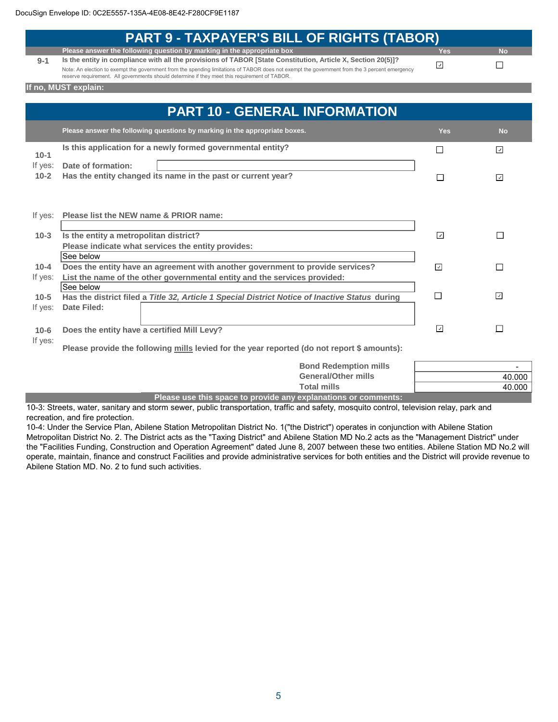|          | <b>PART 9 - TAXPAYER'S BILL OF RIGHTS (TABOR)</b>                                                                                                                                                                                              |                          |                          |
|----------|------------------------------------------------------------------------------------------------------------------------------------------------------------------------------------------------------------------------------------------------|--------------------------|--------------------------|
|          | Please answer the following question by marking in the appropriate box                                                                                                                                                                         | <b>Yes</b>               | <b>No</b>                |
| $9 - 1$  | Is the entity in compliance with all the provisions of TABOR [State Constitution, Article X, Section 20(5)]?                                                                                                                                   | $\overline{\phantom{a}}$ | П                        |
|          | Note: An election to exempt the government from the spending limitations of TABOR does not exempt the government from the 3 percent emergency<br>reserve requirement. All governments should determine if they meet this requirement of TABOR. |                          |                          |
|          | If no, MUST explain:                                                                                                                                                                                                                           |                          |                          |
|          |                                                                                                                                                                                                                                                |                          |                          |
|          | <b>PART 10 - GENERAL INFORMATION</b>                                                                                                                                                                                                           |                          |                          |
|          | Please answer the following questions by marking in the appropriate boxes.                                                                                                                                                                     | <b>Yes</b>               | <b>No</b>                |
|          | Is this application for a newly formed governmental entity?                                                                                                                                                                                    | П                        | $\lceil \cdot \rceil$    |
| $10-1$   |                                                                                                                                                                                                                                                |                          |                          |
| If yes:  | Date of formation:                                                                                                                                                                                                                             |                          |                          |
| $10-2$   | Has the entity changed its name in the past or current year?                                                                                                                                                                                   | $\Box$                   | $\overline{\mathcal{L}}$ |
|          |                                                                                                                                                                                                                                                |                          |                          |
|          |                                                                                                                                                                                                                                                |                          |                          |
| If yes:  | Please list the NEW name & PRIOR name:                                                                                                                                                                                                         |                          |                          |
|          |                                                                                                                                                                                                                                                |                          |                          |
| $10-3$   | Is the entity a metropolitan district?                                                                                                                                                                                                         | $\sqrt{ }$               | П                        |
|          | Please indicate what services the entity provides:                                                                                                                                                                                             |                          |                          |
|          | See below                                                                                                                                                                                                                                      |                          |                          |
| $10 - 4$ | Does the entity have an agreement with another government to provide services?                                                                                                                                                                 | $\overline{\phantom{a}}$ | $\Box$                   |
| If yes:  | List the name of the other governmental entity and the services provided:                                                                                                                                                                      |                          |                          |
|          | See below                                                                                                                                                                                                                                      |                          |                          |
| $10-5$   | Has the district filed a Title 32, Article 1 Special District Notice of Inactive Status during                                                                                                                                                 | $\Box$                   | $\overline{\mathcal{A}}$ |
| If yes:  | <b>Date Filed:</b>                                                                                                                                                                                                                             |                          |                          |
|          |                                                                                                                                                                                                                                                |                          |                          |
| $10 - 6$ | Does the entity have a certified Mill Levy?                                                                                                                                                                                                    | ⊡                        | П                        |
| If yes:  |                                                                                                                                                                                                                                                |                          |                          |
|          | Please provide the following mills levied for the year reported (do not report \$ amounts):                                                                                                                                                    |                          |                          |
|          | <b>Bond Redemption mills</b>                                                                                                                                                                                                                   |                          |                          |
|          | <b>General/Other mills</b>                                                                                                                                                                                                                     |                          | 40.000                   |
|          | <b>Total mills</b>                                                                                                                                                                                                                             |                          | 40.000                   |

**Please use this space to provide any explanations or comments:**

10-3: Streets, water, sanitary and storm sewer, public transportation, traffic and safety, mosquito control, television relay, park and recreation, and fire protection.

10-4: Under the Service Plan, Abilene Station Metropolitan District No. 1("the District") operates in conjunction with Abilene Station Metropolitan District No. 2. The District acts as the "Taxing District" and Abilene Station MD No.2 acts as the "Management District" under the "Facilities Funding, Construction and Operation Agreement" dated June 8, 2007 between these two entities. Abilene Station MD No.2 will operate, maintain, finance and construct Facilities and provide administrative services for both entities and the District will provide revenue to Abilene Station MD. No. 2 to fund such activities.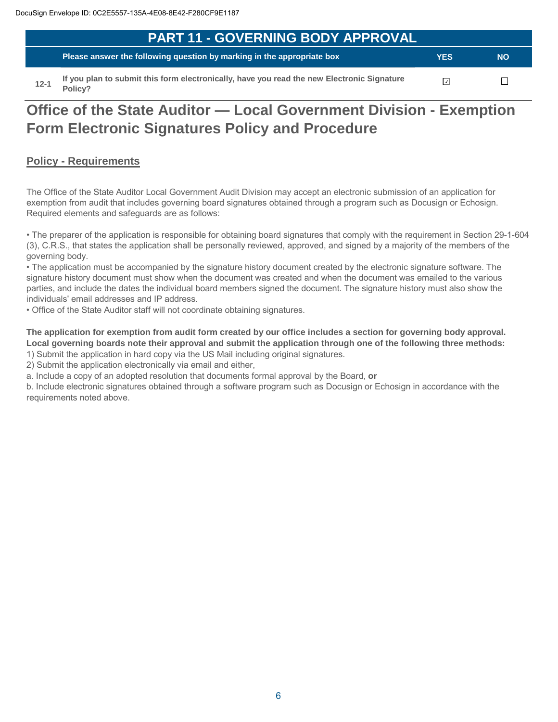| <b>PART 11 - GOVERNING BODY APPROVAL</b>                                                   |            |           |
|--------------------------------------------------------------------------------------------|------------|-----------|
| Please answer the following question by marking in the appropriate box                     | <b>YES</b> | <b>NO</b> |
| If you plan to submit this form electronically, have you read the new Electronic Signature |            |           |

**12-1 Policy?**

# **Office of the State Auditor — Local Government Division - Exemption Form Electronic Signatures Policy and Procedure**

### **Policy - Requirements**

The Office of the State Auditor Local Government Audit Division may accept an electronic submission of an application for exemption from audit that includes governing board signatures obtained through a program such as Docusign or Echosign. Required elements and safeguards are as follows:

• The preparer of the application is responsible for obtaining board signatures that comply with the requirement in Section 29-1-604 (3), C.R.S., that states the application shall be personally reviewed, approved, and signed by a majority of the members of the governing body.

• The application must be accompanied by the signature history document created by the electronic signature software. The signature history document must show when the document was created and when the document was emailed to the various parties, and include the dates the individual board members signed the document. The signature history must also show the individuals' email addresses and IP address.

• Office of the State Auditor staff will not coordinate obtaining signatures.

**The application for exemption from audit form created by our office includes a section for governing body approval. Local governing boards note their approval and submit the application through one of the following three methods:** 

1) Submit the application in hard copy via the US Mail including original signatures.

2) Submit the application electronically via email and either,

a. Include a copy of an adopted resolution that documents formal approval by the Board, **or**

b. Include electronic signatures obtained through a software program such as Docusign or Echosign in accordance with the requirements noted above.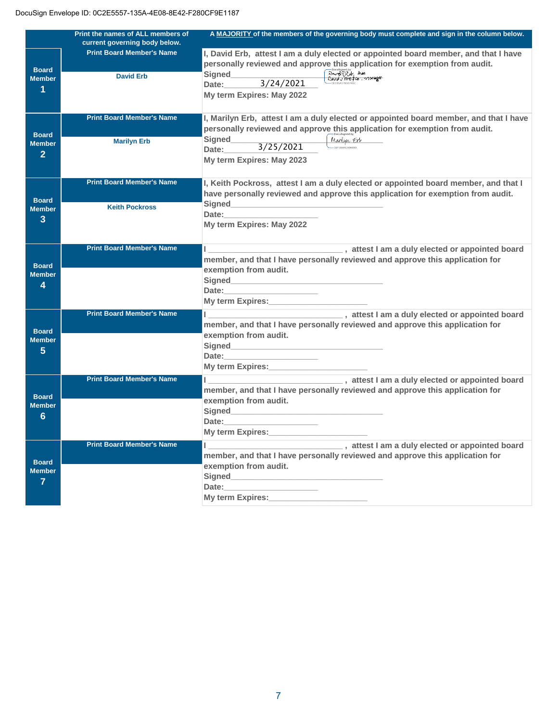|                               | Print the names of ALL members of | A MAJORITY of the members of the governing body must complete and sign in the column below.                                                                                                                                    |
|-------------------------------|-----------------------------------|--------------------------------------------------------------------------------------------------------------------------------------------------------------------------------------------------------------------------------|
|                               | current governing body below.     |                                                                                                                                                                                                                                |
|                               | <b>Print Board Member's Name</b>  | I, David Erb, attest I am a duly elected or appointed board member, and that I have                                                                                                                                            |
|                               |                                   | personally reviewed and approve this application for exemption from audit.                                                                                                                                                     |
| <b>Board</b><br><b>Member</b> | <b>David Erb</b>                  | Docusianced by:<br>David DEUT Anea Property<br>Signed                                                                                                                                                                          |
|                               |                                   | 3/24/2021<br>Date:                                                                                                                                                                                                             |
| 1                             |                                   | My term Expires: May 2022                                                                                                                                                                                                      |
|                               |                                   |                                                                                                                                                                                                                                |
|                               | <b>Print Board Member's Name</b>  |                                                                                                                                                                                                                                |
|                               |                                   | I, Marilyn Erb, attest I am a duly elected or appointed board member, and that I have                                                                                                                                          |
| <b>Board</b>                  |                                   | personally reviewed and approve this application for exemption from audit.                                                                                                                                                     |
| <b>Member</b>                 | <b>Marilyn Erb</b>                | Signed<br>Manlyn Erb<br>-00130482808480                                                                                                                                                                                        |
| $\overline{2}$                |                                   | 3/25/2021<br>Date:                                                                                                                                                                                                             |
|                               |                                   | My term Expires: May 2023                                                                                                                                                                                                      |
|                               |                                   |                                                                                                                                                                                                                                |
|                               | <b>Print Board Member's Name</b>  | I, Keith Pockross, attest I am a duly elected or appointed board member, and that I                                                                                                                                            |
|                               |                                   | have personally reviewed and approve this application for exemption from audit.                                                                                                                                                |
| <b>Board</b>                  |                                   |                                                                                                                                                                                                                                |
| <b>Member</b>                 | <b>Keith Pockross</b>             | Date: the contract of the contract of the contract of the contract of the contract of the contract of the contract of the contract of the contract of the contract of the contract of the contract of the contract of the cont |
| 3                             |                                   | My term Expires: May 2022                                                                                                                                                                                                      |
|                               |                                   |                                                                                                                                                                                                                                |
|                               |                                   |                                                                                                                                                                                                                                |
|                               | <b>Print Board Member's Name</b>  | l ________________________________,attest I am a duly elected or appointed board                                                                                                                                               |
| <b>Board</b>                  |                                   | member, and that I have personally reviewed and approve this application for                                                                                                                                                   |
| <b>Member</b>                 |                                   | exemption from audit.                                                                                                                                                                                                          |
| 4                             |                                   |                                                                                                                                                                                                                                |
|                               |                                   | Date:                                                                                                                                                                                                                          |
|                               |                                   | My term Expires:                                                                                                                                                                                                               |
|                               | <b>Print Board Member's Name</b>  | I am a duly elected or appointed board                                                                                                                                                                                         |
|                               |                                   | member, and that I have personally reviewed and approve this application for                                                                                                                                                   |
| <b>Board</b>                  |                                   | exemption from audit.                                                                                                                                                                                                          |
| <b>Member</b>                 |                                   | Signed <b>Signed Signed Signed Signed Signed Signed Signed Signed Signed Signed Signed Signed Signed Signed Signed Signed Signed Signed Signed Signed Signed Signed Signed Signed</b>                                          |
| 5                             |                                   | Date:                                                                                                                                                                                                                          |
|                               |                                   | My term Expires: _______________                                                                                                                                                                                               |
|                               |                                   |                                                                                                                                                                                                                                |
|                               | <b>Print Board Member's Name</b>  | attest I am a duly elected or appointed board                                                                                                                                                                                  |
| <b>Board</b>                  |                                   | member, and that I have personally reviewed and approve this application for                                                                                                                                                   |
| <b>Member</b>                 |                                   | exemption from audit.                                                                                                                                                                                                          |
| 6                             |                                   |                                                                                                                                                                                                                                |
|                               |                                   | Date:                                                                                                                                                                                                                          |
|                               |                                   | My term Expires: My term and the state of the state of the state of the state of the state of the state of the                                                                                                                 |
|                               | <b>Print Board Member's Name</b>  |                                                                                                                                                                                                                                |
|                               |                                   | member, and that I have personally reviewed and approve this application for                                                                                                                                                   |
| <b>Board</b>                  |                                   | exemption from audit.                                                                                                                                                                                                          |
| <b>Member</b>                 |                                   | Signed<br><u>Signed</u>                                                                                                                                                                                                        |
| $\overline{7}$                |                                   | Date:                                                                                                                                                                                                                          |
|                               |                                   | <b>My term Expires:</b>                                                                                                                                                                                                        |
|                               |                                   |                                                                                                                                                                                                                                |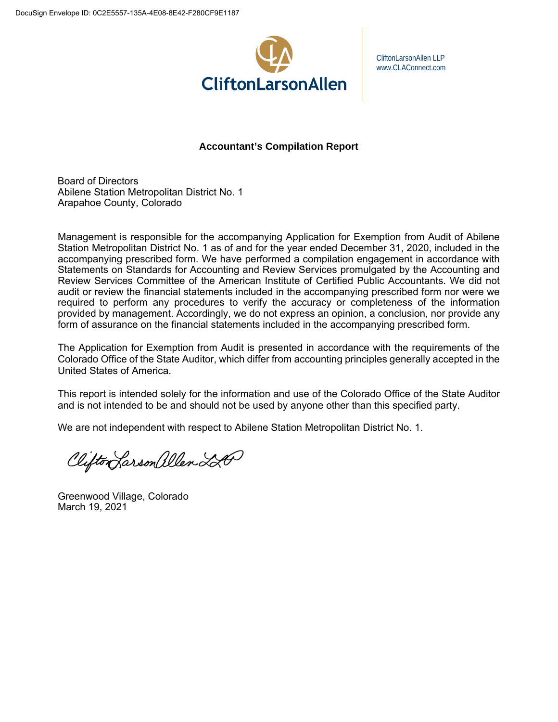

CliftonLarsonAllen LLP www.CLAConnect.com

**Accountant's Compilation Report** 

Board of Directors Abilene Station Metropolitan District No. 1 Arapahoe County, Colorado

Management is responsible for the accompanying Application for Exemption from Audit of Abilene Station Metropolitan District No. 1 as of and for the year ended December 31, 2020, included in the accompanying prescribed form. We have performed a compilation engagement in accordance with Statements on Standards for Accounting and Review Services promulgated by the Accounting and Review Services Committee of the American Institute of Certified Public Accountants. We did not audit or review the financial statements included in the accompanying prescribed form nor were we required to perform any procedures to verify the accuracy or completeness of the information provided by management. Accordingly, we do not express an opinion, a conclusion, nor provide any form of assurance on the financial statements included in the accompanying prescribed form.

The Application for Exemption from Audit is presented in accordance with the requirements of the Colorado Office of the State Auditor, which differ from accounting principles generally accepted in the United States of America.

This report is intended solely for the information and use of the Colorado Office of the State Auditor and is not intended to be and should not be used by anyone other than this specified party.

We are not independent with respect to Abilene Station Metropolitan District No. 1.

Clifton Larson allen 220

Greenwood Village, Colorado March 19, 2021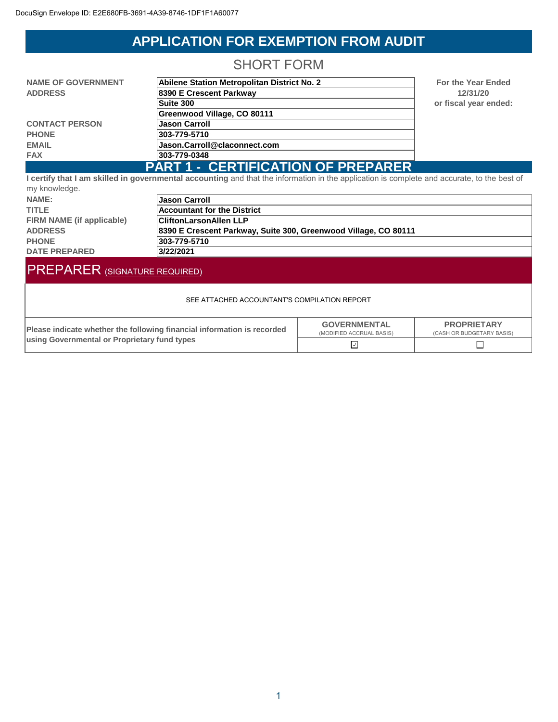# **APPLICATION FOR EXEMPTION FROM AUDIT**

## SHORT FORM

| <b>NAME OF GOVERNMENT</b> | Abilene Station Metropolitan District No. 2 |          |
|---------------------------|---------------------------------------------|----------|
| <b>ADDRESS</b>            | 8390 E Crescent Parkway                     |          |
|                           | Suite 300                                   | $\Omega$ |
|                           | Greenwood Village, CO 80111                 |          |
| <b>CONTACT PERSON</b>     | <b>Jason Carroll</b>                        |          |
| <b>PHONE</b>              | 303-779-5710                                |          |
| <b>EMAIL</b>              | Jason.Carroll@claconnect.com                |          |
| <b>FAX</b>                | 303-779-0348                                |          |
|                           | <b>PART 1 - CERTIFICATION OF PREPARER</b>   |          |

**For the Year Ended 12/31/20 Suite 300 or fiscal year ended:**

**I certify that I am skilled in governmental accounting** and that the information in the application is complete and accurate, to the best of my knowledge.

| 111y 11110111000y000      |                                                                 |
|---------------------------|-----------------------------------------------------------------|
| NAME:                     | <b>Jason Carroll</b>                                            |
| <b>TITLE</b>              | <b>Accountant for the District</b>                              |
| FIRM NAME (if applicable) | <b>CliftonLarsonAllen LLP</b>                                   |
| <b>ADDRESS</b>            | 8390 E Crescent Parkway, Suite 300, Greenwood Village, CO 80111 |
| <b>PHONE</b>              | 303-779-5710                                                    |
| <b>DATE PREPARED</b>      | 3/22/2021                                                       |

# PREPARER (SIGNATURE REQUIRED)

#### SEE ATTACHED ACCOUNTANT'S COMPILATION REPORT

| Please indicate whether the following financial information is recorded | <b>GOVERNMENTAL</b><br>(MODIFIED ACCRUAL BASIS) | <b>PROPRIETARY</b><br>(CASH OR BUDGETARY BASIS) |  |
|-------------------------------------------------------------------------|-------------------------------------------------|-------------------------------------------------|--|
| using Governmental or Proprietary fund types                            |                                                 |                                                 |  |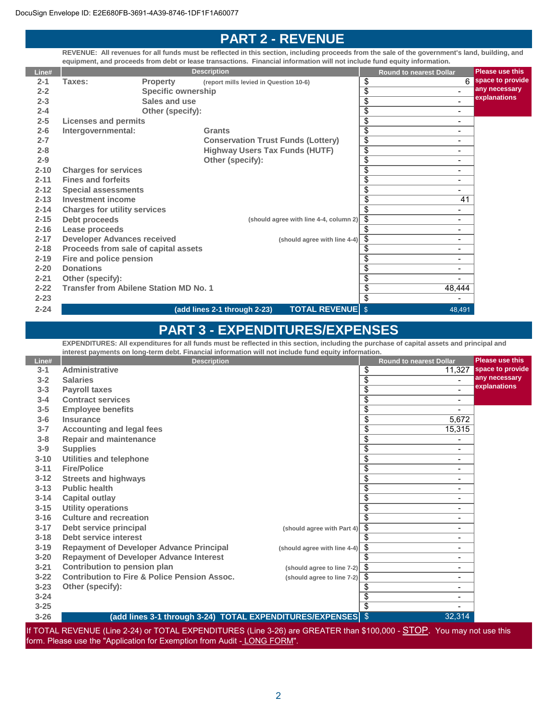## **PART 2 - REVENUE**

**REVENUE: All revenues for all funds must be reflected in this section, including proceeds from the sale of the government's land, building, and equipment, and proceeds from debt or lease transactions. Financial information will not include fund equity information.**

| Line#    |                                               |                           | <b>Description</b>                                   | <b>Round to nearest Dollar</b>                  | <b>Please use this</b> |
|----------|-----------------------------------------------|---------------------------|------------------------------------------------------|-------------------------------------------------|------------------------|
| $2 - 1$  | Taxes:                                        | <b>Property</b>           | (report mills levied in Question 10-6)               | \$                                              | space to provide<br>6  |
| $2 - 2$  |                                               | <b>Specific ownership</b> |                                                      | \$<br>÷.                                        | any necessary          |
| $2 - 3$  |                                               | Sales and use             |                                                      | $\overline{\$}$<br>$\blacksquare$               | explanations           |
| $2 - 4$  |                                               | Other (specify):          |                                                      | \$<br>$\blacksquare$                            |                        |
| $2 - 5$  | <b>Licenses and permits</b>                   |                           |                                                      | \$<br>$\qquad \qquad \blacksquare$              |                        |
| $2 - 6$  | Intergovernmental:                            |                           | <b>Grants</b>                                        | $\overline{\$}$<br>$\blacksquare$               |                        |
| $2 - 7$  |                                               |                           | <b>Conservation Trust Funds (Lottery)</b>            | \$<br>$\blacksquare$                            |                        |
| $2 - 8$  |                                               |                           | <b>Highway Users Tax Funds (HUTF)</b>                | $\overline{\$}$<br>$\qquad \qquad \blacksquare$ |                        |
| $2 - 9$  |                                               |                           | Other (specify):                                     | $\overline{\$}$<br>$\qquad \qquad \blacksquare$ |                        |
| $2 - 10$ | <b>Charges for services</b>                   |                           |                                                      | $\overline{\$}$<br>$\overline{\phantom{0}}$     |                        |
| $2 - 11$ | <b>Fines and forfeits</b>                     |                           |                                                      | $\overline{\$}$<br>$\overline{\phantom{0}}$     |                        |
| $2 - 12$ | <b>Special assessments</b>                    |                           |                                                      | $\overline{\$}$<br>$\blacksquare$               |                        |
| $2 - 13$ | <b>Investment income</b>                      |                           |                                                      | \$<br>41                                        |                        |
| $2 - 14$ | <b>Charges for utility services</b>           |                           |                                                      | \$<br>$\blacksquare$                            |                        |
| $2 - 15$ | Debt proceeds                                 |                           | (should agree with line 4-4, column 2)               | \$<br>$\overline{\phantom{0}}$                  |                        |
| $2 - 16$ | Lease proceeds                                |                           |                                                      | \$<br>$\overline{\phantom{0}}$                  |                        |
| $2 - 17$ | <b>Developer Advances received</b>            |                           | (should agree with line 4-4)                         | $\overline{\$}$<br>$\overline{\phantom{0}}$     |                        |
| $2 - 18$ | Proceeds from sale of capital assets          |                           |                                                      | \$<br>$\blacksquare$                            |                        |
| $2 - 19$ | Fire and police pension                       |                           |                                                      | \$<br>$\blacksquare$                            |                        |
| $2 - 20$ | <b>Donations</b>                              |                           |                                                      | \$<br>$\overline{\phantom{0}}$                  |                        |
| $2 - 21$ | Other (specify):                              |                           |                                                      | $\overline{\$}$                                 |                        |
| $2 - 22$ | <b>Transfer from Abilene Station MD No. 1</b> |                           |                                                      | $\overline{\$}$<br>48,444                       |                        |
| $2 - 23$ |                                               |                           |                                                      | \$<br>$\blacksquare$                            |                        |
| $2 - 24$ |                                               |                           | <b>TOTAL REVENUE</b><br>(add lines 2-1 through 2-23) | \$<br>48,491                                    |                        |

## **PART 3 - EXPENDITURES/EXPENSES**

**EXPENDITURES: All expenditures for all funds must be reflected in this section, including the purchase of capital assets and principal and interest payments on long-term debt. Financial information will not include fund equity information.**

| Line#    | <b>Description</b>                                                  |                                          |                 | <b>Round to nearest Dollar</b> | <b>Please use this</b> |
|----------|---------------------------------------------------------------------|------------------------------------------|-----------------|--------------------------------|------------------------|
| $3 - 1$  | <b>Administrative</b>                                               |                                          | \$              | 11,327                         | space to provide       |
| $3 - 2$  | <b>Salaries</b>                                                     |                                          | \$              |                                | any necessary          |
| $3 - 3$  | <b>Payroll taxes</b>                                                |                                          | \$              |                                | explanations           |
| $3 - 4$  | <b>Contract services</b>                                            |                                          | \$              | $\blacksquare$                 |                        |
| $3 - 5$  | <b>Employee benefits</b>                                            |                                          | $\overline{\$}$ |                                |                        |
| $3-6$    | <b>Insurance</b>                                                    |                                          | \$              | 5,672                          |                        |
| $3 - 7$  | <b>Accounting and legal fees</b>                                    |                                          | $\overline{\$}$ | 15,315                         |                        |
| $3 - 8$  | <b>Repair and maintenance</b>                                       |                                          | \$              |                                |                        |
| $3 - 9$  | <b>Supplies</b>                                                     |                                          | $\overline{\$}$ | Ξ.                             |                        |
| $3 - 10$ | <b>Utilities and telephone</b>                                      |                                          | \$              | Ξ.                             |                        |
| $3 - 11$ | <b>Fire/Police</b>                                                  |                                          | \$              | -                              |                        |
| $3 - 12$ | <b>Streets and highways</b>                                         |                                          | \$              | -                              |                        |
| $3 - 13$ | <b>Public health</b>                                                |                                          | \$              | ۰                              |                        |
| $3 - 14$ | <b>Capital outlay</b>                                               |                                          | \$              | Ξ.                             |                        |
| $3 - 15$ | <b>Utility operations</b>                                           |                                          | \$              | ۰                              |                        |
| $3 - 16$ | <b>Culture and recreation</b>                                       |                                          | \$              | Ξ.                             |                        |
| $3 - 17$ | Debt service principal                                              | (should agree with Part 4)               | \$              | Ξ.                             |                        |
| $3 - 18$ | Debt service interest                                               |                                          | \$              | Ξ.                             |                        |
| $3 - 19$ | <b>Repayment of Developer Advance Principal</b>                     | (should agree with line 4-4)             | \$              | Ξ.                             |                        |
| $3 - 20$ | <b>Repayment of Developer Advance Interest</b>                      |                                          | \$              | Ξ.                             |                        |
| $3 - 21$ | Contribution to pension plan                                        | (should agree to line 7-2) $\frac{1}{2}$ |                 | Ξ.                             |                        |
| $3 - 22$ | <b>Contribution to Fire &amp; Police Pension Assoc.</b>             | (should agree to line 7-2)               | -\$             | Ξ.                             |                        |
| $3 - 23$ | Other (specify):                                                    |                                          | \$              | Ξ.                             |                        |
| $3 - 24$ |                                                                     |                                          | \$              | Ξ.                             |                        |
| $3 - 25$ |                                                                     |                                          | \$              | ۰                              |                        |
| $3 - 26$ | (add lines 3-1 through 3-24)  TOTAL EXPENDITURES/EXPENSES $\mid$ \$ |                                          |                 | 32,314                         |                        |

(Line 2-24) or TOTAL EXPENDITURES (Line 3-26) are GREATER than  $$100,000$  -  $\underline{\text{S1OP}}$ . form. Please use the "Application for Exemption from Audit - LONG FORM".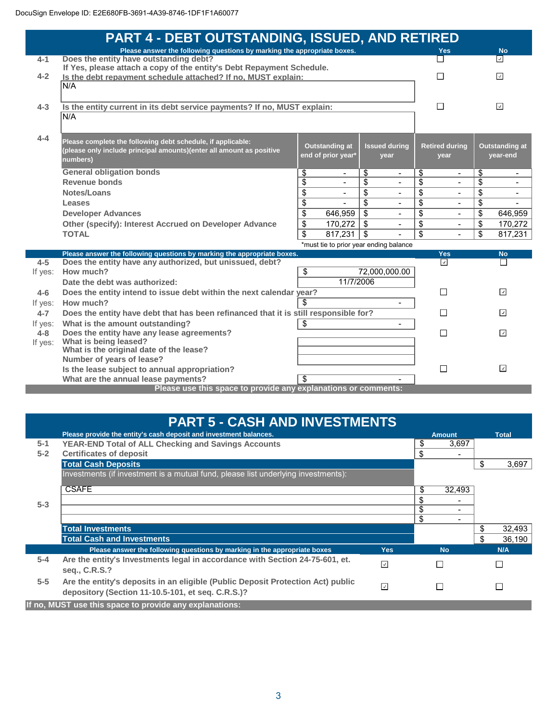|         | <b>PART 4 - DEBT OUTSTANDING, ISSUED, AND RETIRED</b>                                                                                  |                                        |                 |                      |                 |                         |                 |                          |
|---------|----------------------------------------------------------------------------------------------------------------------------------------|----------------------------------------|-----------------|----------------------|-----------------|-------------------------|-----------------|--------------------------|
|         | Please answer the following questions by marking the appropriate boxes.                                                                |                                        |                 |                      |                 | <b>Yes</b>              |                 | <b>No</b>                |
| $4 - 1$ | Does the entity have outstanding debt?                                                                                                 |                                        |                 |                      |                 |                         |                 | ⊡                        |
| $4 - 2$ | If Yes, please attach a copy of the entity's Debt Repayment Schedule.<br>Is the debt repayment schedule attached? If no, MUST explain: |                                        |                 |                      |                 |                         |                 | $\overline{\phantom{a}}$ |
|         | N/A                                                                                                                                    |                                        |                 |                      |                 |                         |                 |                          |
|         |                                                                                                                                        |                                        |                 |                      |                 |                         |                 |                          |
| $4 - 3$ | Is the entity current in its debt service payments? If no, MUST explain:                                                               |                                        |                 |                      |                 | П                       |                 | $\sqrt{2}$               |
|         | N/A                                                                                                                                    |                                        |                 |                      |                 |                         |                 |                          |
|         |                                                                                                                                        |                                        |                 |                      |                 |                         |                 |                          |
| $4 - 4$ | Please complete the following debt schedule, if applicable:                                                                            |                                        |                 |                      |                 |                         |                 |                          |
|         | (please only include principal amounts)(enter all amount as positive                                                                   | Outstanding at                         |                 | <b>Issued during</b> |                 | <b>Retired during</b>   |                 | <b>Outstanding at</b>    |
|         | numbers)                                                                                                                               | end of prior year*                     |                 | year                 |                 | year                    |                 | year-end                 |
|         | <b>General obligation bonds</b>                                                                                                        | \$                                     | \$              | $\blacksquare$       | \$              |                         | \$              |                          |
|         | <b>Revenue bonds</b>                                                                                                                   | \$<br>$\blacksquare$                   | \$              | ÷                    | \$              | $\blacksquare$          | \$              | $\overline{\phantom{0}}$ |
|         | Notes/Loans                                                                                                                            | \$                                     | \$              | $\blacksquare$       | \$              |                         | \$              |                          |
|         | Leases                                                                                                                                 | \$                                     | \$              | $\blacksquare$       | \$              | $\sim$                  | \$              |                          |
|         | <b>Developer Advances</b>                                                                                                              | \$<br>646,959                          | $\overline{\$}$ | ÷.                   | $\overline{\$}$ |                         | $\overline{\$}$ | 646,959                  |
|         | Other (specify): Interest Accrued on Developer Advance                                                                                 | \$<br>170,272                          | \$              |                      | \$              |                         | \$              | 170,272                  |
|         | <b>TOTAL</b>                                                                                                                           | \$<br>817,231                          | \$              |                      | \$              |                         | \$              | 817,231                  |
|         |                                                                                                                                        | *must tie to prior year ending balance |                 |                      |                 |                         |                 |                          |
|         | Please answer the following questions by marking the appropriate boxes.                                                                |                                        |                 |                      |                 | <b>Yes</b>              |                 | <b>No</b>                |
| $4 - 5$ | Does the entity have any authorized, but unissued, debt?                                                                               |                                        |                 |                      |                 | $\boxed{\triangledown}$ |                 | П                        |
| If yes: | How much?                                                                                                                              | \$                                     |                 | 72,000,000.00        |                 |                         |                 |                          |
|         | Date the debt was authorized:                                                                                                          | 11/7/2006                              |                 |                      |                 |                         |                 |                          |
| $4 - 6$ | Does the entity intend to issue debt within the next calendar year?                                                                    |                                        |                 |                      |                 | П                       |                 | $\sqrt{ }$               |
| If yes: | How much?                                                                                                                              | \$                                     |                 |                      |                 |                         |                 |                          |
| $4 - 7$ | Does the entity have debt that has been refinanced that it is still responsible for?                                                   |                                        |                 |                      |                 | П                       |                 | ⊡                        |
| If yes: | What is the amount outstanding?                                                                                                        | \$                                     |                 | $\blacksquare$       |                 |                         |                 |                          |
| $4 - 8$ | Does the entity have any lease agreements?<br>What is being leased?                                                                    |                                        |                 |                      |                 | П                       |                 | $\overline{\mathcal{L}}$ |
| If yes: | What is the original date of the lease?                                                                                                |                                        |                 |                      |                 |                         |                 |                          |
|         | Number of years of lease?                                                                                                              |                                        |                 |                      |                 |                         |                 |                          |
|         | Is the lease subject to annual appropriation?                                                                                          |                                        |                 |                      |                 | $\Box$                  |                 | ⊡                        |
|         | What are the annual lease payments?                                                                                                    | \$                                     |                 |                      |                 |                         |                 |                          |
|         | Please use this space to provide any explanations or comments:                                                                         |                                        |                 |                      |                 |                         |                 |                          |

|         | <b>PART 5 - CASH AND INVESTMENTS</b>                                              |                          |               |              |
|---------|-----------------------------------------------------------------------------------|--------------------------|---------------|--------------|
|         | Please provide the entity's cash deposit and investment balances.                 |                          | <b>Amount</b> | <b>Total</b> |
| $5 - 1$ | <b>YEAR-END Total of ALL Checking and Savings Accounts</b>                        |                          | \$<br>3,697   |              |
| $5 - 2$ | <b>Certificates of deposit</b>                                                    |                          | \$            |              |
|         | <b>Total Cash Deposits</b>                                                        |                          |               | 3,697        |
|         | Investments (if investment is a mutual fund, please list underlying investments): |                          |               |              |
|         | <b>CSAFE</b>                                                                      |                          | \$<br>32,493  |              |
|         |                                                                                   |                          | \$            |              |
| $5 - 3$ |                                                                                   |                          | \$            |              |
|         |                                                                                   |                          | \$            |              |
|         | <b>Total Investments</b>                                                          |                          |               | \$<br>32,493 |
|         | <b>Total Cash and Investments</b>                                                 |                          |               | \$<br>36,190 |
|         | Please answer the following questions by marking in the appropriate boxes         | <b>Yes</b>               | <b>No</b>     | N/A          |
| $5 - 4$ | Are the entity's Investments legal in accordance with Section 24-75-601, et.      | $\overline{\phantom{a}}$ |               |              |
|         | seq., C.R.S.?                                                                     |                          |               |              |
| $5-5$   | Are the entity's deposits in an eligible (Public Deposit Protection Act) public   | $\overline{\mathcal{L}}$ |               |              |
|         | depository (Section 11-10.5-101, et seq. C.R.S.)?                                 |                          |               |              |
|         | If no, MUST use this space to provide any explanations:                           |                          |               |              |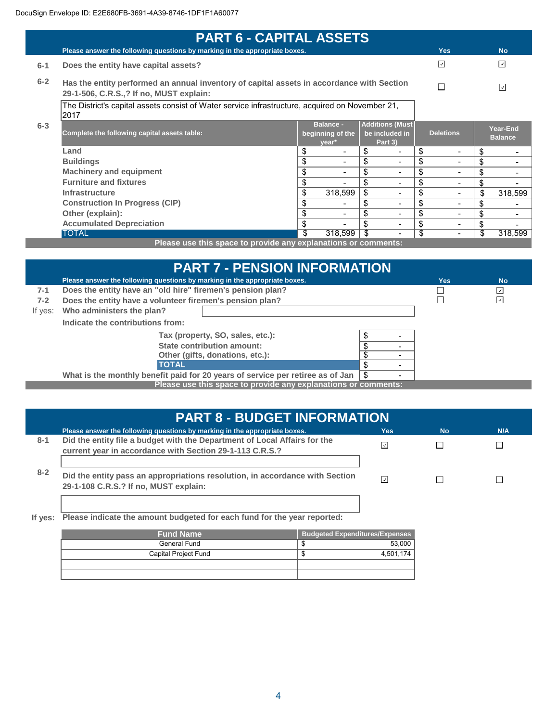| <b>PART 6 - CAPITAL ASSETS</b>                                                                           |                                                                                                                                      |                                               |                                                     |                                |                            |  |
|----------------------------------------------------------------------------------------------------------|--------------------------------------------------------------------------------------------------------------------------------------|-----------------------------------------------|-----------------------------------------------------|--------------------------------|----------------------------|--|
|                                                                                                          | Please answer the following questions by marking in the appropriate boxes.                                                           |                                               |                                                     | <b>Yes</b>                     | <b>No</b>                  |  |
| $6 - 1$                                                                                                  | Does the entity have capital assets?                                                                                                 |                                               |                                                     | ⊡                              | $\overline{\mathcal{L}}$   |  |
| $6 - 2$                                                                                                  | Has the entity performed an annual inventory of capital assets in accordance with Section<br>29-1-506, C.R.S.,? If no, MUST explain: |                                               |                                                     |                                | $\overline{\mathcal{L}}$   |  |
| The District's capital assets consist of Water service infrastructure, acquired on November 21,<br> 2017 |                                                                                                                                      |                                               |                                                     |                                |                            |  |
| $6 - 3$                                                                                                  | Complete the following capital assets table:                                                                                         | <b>Balance -</b><br>beginning of the<br>year* | <b>Additions (Must</b><br>be included in<br>Part 3) | <b>Deletions</b>               | Year-End<br><b>Balance</b> |  |
|                                                                                                          | Land                                                                                                                                 | \$<br>$\overline{\phantom{a}}$                | \$<br>$\overline{\phantom{0}}$                      | \$<br>$\overline{\phantom{0}}$ | \$                         |  |
|                                                                                                          | <b>Buildings</b>                                                                                                                     | \$<br>-                                       | \$                                                  | \$<br>Ξ.                       | \$                         |  |
|                                                                                                          | <b>Machinery and equipment</b>                                                                                                       | \$                                            | \$                                                  | \$                             | \$                         |  |
|                                                                                                          | <b>Furniture and fixtures</b>                                                                                                        | \$                                            | \$<br>$\blacksquare$                                | \$<br>Ξ.                       | \$                         |  |
|                                                                                                          | <b>Infrastructure</b>                                                                                                                | 318,599<br>\$                                 | \$<br>$\overline{\phantom{0}}$                      | \$<br>Ξ.                       | \$<br>318,599              |  |
|                                                                                                          | <b>Construction In Progress (CIP)</b>                                                                                                |                                               | \$<br>$\overline{\phantom{0}}$                      | \$<br>-                        | \$                         |  |
|                                                                                                          | Other (explain):                                                                                                                     | \$<br>$\blacksquare$                          | \$<br>$\overline{\phantom{0}}$                      | \$<br>Ξ.                       | \$                         |  |
|                                                                                                          | <b>Accumulated Depreciation</b>                                                                                                      | \$                                            | \$                                                  | \$<br>-                        | \$                         |  |
|                                                                                                          | <b>TOTAL</b>                                                                                                                         | 318,599                                       |                                                     | \$<br>Ξ.                       | \$<br>318,599              |  |
|                                                                                                          | Please use this space to provide any explanations or comments:                                                                       |                                               |                                                     |                                |                            |  |

**Please use this space to provide any explanations or comments:**

|                                                                                                                  | <b>PART 7 - PENSION INFORMATION</b>                                        |  |  |     |                          |  |
|------------------------------------------------------------------------------------------------------------------|----------------------------------------------------------------------------|--|--|-----|--------------------------|--|
|                                                                                                                  | Please answer the following questions by marking in the appropriate boxes. |  |  | Yes | <b>No</b>                |  |
| $7-1$                                                                                                            | Does the entity have an "old hire" firemen's pension plan?                 |  |  |     | ⊻                        |  |
| $7-2$                                                                                                            | Does the entity have a volunteer firemen's pension plan?                   |  |  |     | $\overline{\mathcal{L}}$ |  |
| If yes:                                                                                                          | Who administers the plan?                                                  |  |  |     |                          |  |
|                                                                                                                  | Indicate the contributions from:                                           |  |  |     |                          |  |
|                                                                                                                  | Tax (property, SO, sales, etc.):                                           |  |  |     |                          |  |
|                                                                                                                  | State contribution amount:                                                 |  |  |     |                          |  |
|                                                                                                                  | Other (gifts, donations, etc.):                                            |  |  |     |                          |  |
| <b>TOTAL</b><br>\$                                                                                               |                                                                            |  |  |     |                          |  |
| What is the monthly benefit paid for 20 years of service per retiree as of Jan<br>\$<br>$\overline{\phantom{0}}$ |                                                                            |  |  |     |                          |  |
|                                                                                                                  | Please use this space to provide any explanations or comments:             |  |  |     |                          |  |

|         | <b>PART 8 - BUDGET INFORMATION</b>                                                                                                    |                          |           |     |  |  |
|---------|---------------------------------------------------------------------------------------------------------------------------------------|--------------------------|-----------|-----|--|--|
|         | Please answer the following questions by marking in the appropriate boxes.                                                            | Yes:                     | <b>No</b> | N/A |  |  |
| $8 - 1$ | Did the entity file a budget with the Department of Local Affairs for the<br>current year in accordance with Section 29-1-113 C.R.S.? |                          |           |     |  |  |
| $8 - 2$ | Did the entity pass an appropriations resolution, in accordance with Section<br>29-1-108 C.R.S.? If no, MUST explain:                 | $\overline{\mathcal{L}}$ |           |     |  |  |

#### **If yes: Please indicate the amount budgeted for each fund for the year reported:**

| <b>Fund Name</b>     | <b>Budgeted Expenditures/Expenses</b> |
|----------------------|---------------------------------------|
| General Fund         | 53,000<br>-sti                        |
| Capital Project Fund | 4.501.174<br>-sti                     |
|                      |                                       |
|                      |                                       |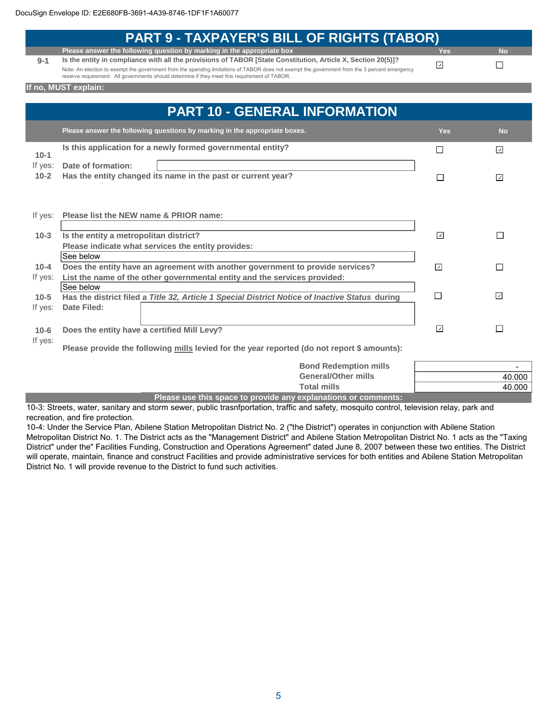|          | <b>PART 9 - TAXPAYER'S BILL OF RIGHTS (TABOR)</b>                                                                                                                                                                                              |            |                          |
|----------|------------------------------------------------------------------------------------------------------------------------------------------------------------------------------------------------------------------------------------------------|------------|--------------------------|
|          | Please answer the following question by marking in the appropriate box                                                                                                                                                                         | <b>Yes</b> | <b>No</b>                |
| $9 - 1$  | Is the entity in compliance with all the provisions of TABOR [State Constitution, Article X, Section 20(5)]?                                                                                                                                   |            |                          |
|          | Note: An election to exempt the government from the spending limitations of TABOR does not exempt the government from the 3 percent emergency<br>reserve requirement. All governments should determine if they meet this requirement of TABOR. | ⊡          | П                        |
|          | If no, MUST explain:                                                                                                                                                                                                                           |            |                          |
|          |                                                                                                                                                                                                                                                |            |                          |
|          | <b>PART 10 - GENERAL INFORMATION</b>                                                                                                                                                                                                           |            |                          |
|          | Please answer the following questions by marking in the appropriate boxes.                                                                                                                                                                     | <b>Yes</b> | <b>No</b>                |
|          | Is this application for a newly formed governmental entity?                                                                                                                                                                                    | ΙI         | ⊡                        |
| $10 - 1$ |                                                                                                                                                                                                                                                |            |                          |
| If yes:  | Date of formation:                                                                                                                                                                                                                             |            |                          |
| $10 - 2$ | Has the entity changed its name in the past or current year?                                                                                                                                                                                   | П          | $\overline{\phantom{a}}$ |
|          |                                                                                                                                                                                                                                                |            |                          |
|          |                                                                                                                                                                                                                                                |            |                          |
|          |                                                                                                                                                                                                                                                |            |                          |
| If yes:  | Please list the NEW name & PRIOR name:                                                                                                                                                                                                         |            |                          |
| $10-3$   | Is the entity a metropolitan district?                                                                                                                                                                                                         | ⊡          | П                        |
|          | Please indicate what services the entity provides:                                                                                                                                                                                             |            |                          |
|          | See below                                                                                                                                                                                                                                      |            |                          |
| $10 - 4$ | Does the entity have an agreement with another government to provide services?<br>⊡                                                                                                                                                            |            | П                        |
| If yes:  | List the name of the other governmental entity and the services provided:                                                                                                                                                                      |            |                          |
|          | See below                                                                                                                                                                                                                                      |            |                          |
| $10 - 5$ | Has the district filed a Title 32, Article 1 Special District Notice of Inactive Status during                                                                                                                                                 | П          | $\overline{\phantom{a}}$ |
| If yes:  | <b>Date Filed:</b>                                                                                                                                                                                                                             |            |                          |
|          |                                                                                                                                                                                                                                                |            |                          |
| $10-6$   | Does the entity have a certified Mill Levy?                                                                                                                                                                                                    | ☑          | П                        |
| If yes:  |                                                                                                                                                                                                                                                |            |                          |
|          | Please provide the following mills levied for the year reported (do not report \$ amounts):                                                                                                                                                    |            |                          |
|          | <b>Bond Redemption mills</b>                                                                                                                                                                                                                   |            |                          |
|          | <b>General/Other mills</b>                                                                                                                                                                                                                     |            | 40.000                   |
|          | <b>Total mills</b>                                                                                                                                                                                                                             |            | 40.000                   |
|          |                                                                                                                                                                                                                                                |            |                          |

**Please use this space to provide any explanations or comments:**

10-3: Streets, water, sanitary and storm sewer, public trasnfportation, traffic and safety, mosquito control, television relay, park and recreation, and fire protection.

10-4: Under the Service Plan, Abilene Station Metropolitan District No. 2 ("the District") operates in conjunction with Abilene Station Metropolitan District No. 1. The District acts as the "Management District" and Abilene Station Metropolitan District No. 1 acts as the "Taxing District" under the" Facilities Funding, Construction and Operations Agreement" dated June 8, 2007 between these two entities. The District will operate, maintain, finance and construct Facilities and provide administrative services for both entities and Abilene Station Metropolitan District No. 1 will provide revenue to the District to fund such activities.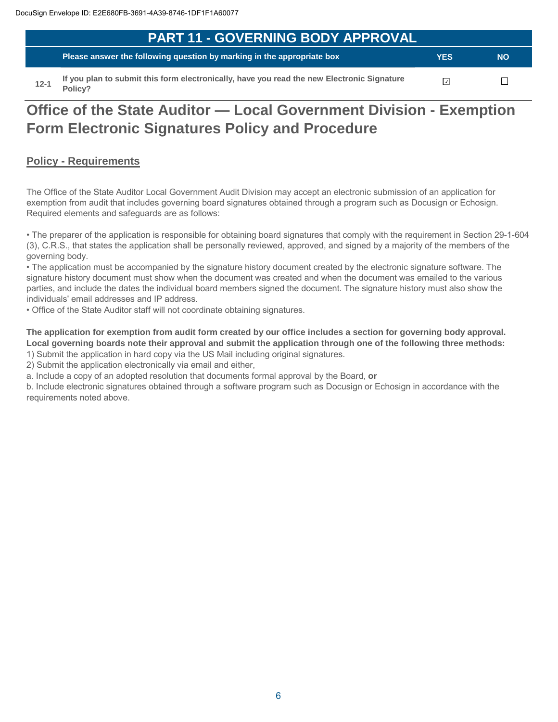| <b>PART 11 - GOVERNING BODY APPROVAL</b> |                                                                                            |            |           |  |  |
|------------------------------------------|--------------------------------------------------------------------------------------------|------------|-----------|--|--|
|                                          | Telease answer the following question by marking in the appropriate box                    | <b>YES</b> | <b>NO</b> |  |  |
|                                          | If you plan to submit this form electronically, have you read the new Electronic Signature |            |           |  |  |

**12-1 Innse form electronically, have you read the new Electronic Signature Policy?**

# **Office of the State Auditor — Local Government Division - Exemption Form Electronic Signatures Policy and Procedure**

### **Policy - Requirements**

The Office of the State Auditor Local Government Audit Division may accept an electronic submission of an application for exemption from audit that includes governing board signatures obtained through a program such as Docusign or Echosign. Required elements and safeguards are as follows:

• The preparer of the application is responsible for obtaining board signatures that comply with the requirement in Section 29-1-604 (3), C.R.S., that states the application shall be personally reviewed, approved, and signed by a majority of the members of the governing body.

• The application must be accompanied by the signature history document created by the electronic signature software. The signature history document must show when the document was created and when the document was emailed to the various parties, and include the dates the individual board members signed the document. The signature history must also show the individuals' email addresses and IP address.

• Office of the State Auditor staff will not coordinate obtaining signatures.

**The application for exemption from audit form created by our office includes a section for governing body approval. Local governing boards note their approval and submit the application through one of the following three methods:** 

1) Submit the application in hard copy via the US Mail including original signatures.

2) Submit the application electronically via email and either,

a. Include a copy of an adopted resolution that documents formal approval by the Board, **or**

b. Include electronic signatures obtained through a software program such as Docusign or Echosign in accordance with the requirements noted above.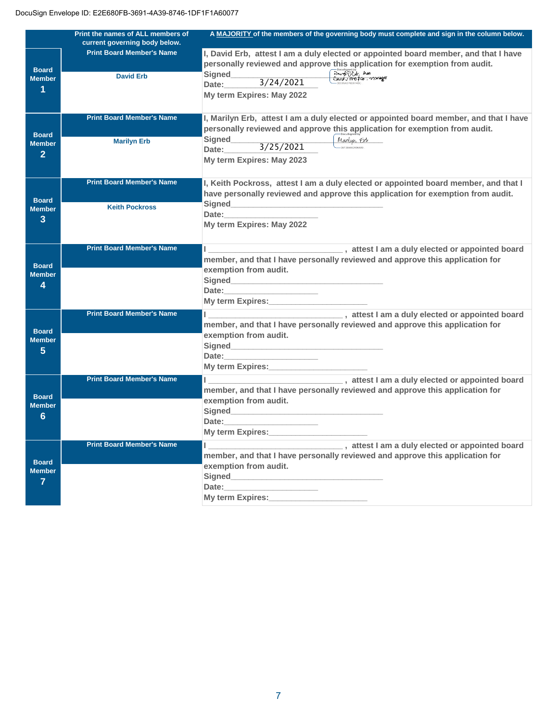|                 | Print the names of ALL members of | A MAJORITY of the members of the governing body must complete and sign in the column below.                                                                                                                                    |
|-----------------|-----------------------------------|--------------------------------------------------------------------------------------------------------------------------------------------------------------------------------------------------------------------------------|
|                 | current governing body below.     |                                                                                                                                                                                                                                |
|                 | <b>Print Board Member's Name</b>  | I, David Erb, attest I am a duly elected or appointed board member, and that I have                                                                                                                                            |
| <b>Board</b>    |                                   | personally reviewed and approve this application for exemption from audit.                                                                                                                                                     |
| <b>Member</b>   | <b>David Erb</b>                  | Docusigned by:<br>David DENG Avea<br>Essund JEMO FCO, MAMANGER<br><b>Signed</b>                                                                                                                                                |
| 1               |                                   | $\frac{3}{24/2021}$<br>Date:                                                                                                                                                                                                   |
|                 |                                   | My term Expires: May 2022                                                                                                                                                                                                      |
|                 |                                   |                                                                                                                                                                                                                                |
|                 | <b>Print Board Member's Name</b>  | I, Marilyn Erb, attest I am a duly elected or appointed board member, and that I have                                                                                                                                          |
|                 |                                   | personally reviewed and approve this application for exemption from audit.                                                                                                                                                     |
| <b>Board</b>    |                                   | Signed<br>Marilyn Erb                                                                                                                                                                                                          |
| <b>Member</b>   | <b>Marilyn Erb</b>                | 3/25/2021<br>Date:                                                                                                                                                                                                             |
| $\overline{2}$  |                                   | My term Expires: May 2023                                                                                                                                                                                                      |
|                 |                                   |                                                                                                                                                                                                                                |
|                 | <b>Print Board Member's Name</b>  |                                                                                                                                                                                                                                |
|                 |                                   | I, Keith Pockross, attest I am a duly elected or appointed board member, and that I                                                                                                                                            |
| <b>Board</b>    |                                   | have personally reviewed and approve this application for exemption from audit.                                                                                                                                                |
| <b>Member</b>   | <b>Keith Pockross</b>             |                                                                                                                                                                                                                                |
| 3               |                                   | Date: the contract of the contract of the contract of the contract of the contract of the contract of the contract of the contract of the contract of the contract of the contract of the contract of the contract of the cont |
|                 |                                   | My term Expires: May 2022                                                                                                                                                                                                      |
|                 |                                   |                                                                                                                                                                                                                                |
|                 | <b>Print Board Member's Name</b>  |                                                                                                                                                                                                                                |
|                 |                                   | member, and that I have personally reviewed and approve this application for                                                                                                                                                   |
| <b>Board</b>    |                                   | exemption from audit.                                                                                                                                                                                                          |
| <b>Member</b>   |                                   | Signed <b>Signed Signed Signed</b>                                                                                                                                                                                             |
| 4               |                                   | Date:________                                                                                                                                                                                                                  |
|                 |                                   | My term Expires:                                                                                                                                                                                                               |
|                 | <b>Print Board Member's Name</b>  | I am a duly elected or appointed board                                                                                                                                                                                         |
|                 |                                   | member, and that I have personally reviewed and approve this application for                                                                                                                                                   |
| <b>Board</b>    |                                   | exemption from audit.                                                                                                                                                                                                          |
| <b>Member</b>   |                                   |                                                                                                                                                                                                                                |
| $5\phantom{.0}$ |                                   | Date: The Date:                                                                                                                                                                                                                |
|                 |                                   | My term Expires: Note that the My term                                                                                                                                                                                         |
|                 |                                   |                                                                                                                                                                                                                                |
|                 | <b>Print Board Member's Name</b>  | statest I am a duly elected or appointed board                                                                                                                                                                                 |
| <b>Board</b>    |                                   | member, and that I have personally reviewed and approve this application for                                                                                                                                                   |
| <b>Member</b>   |                                   | exemption from audit.                                                                                                                                                                                                          |
| 6               |                                   |                                                                                                                                                                                                                                |
|                 |                                   | Date:                                                                                                                                                                                                                          |
|                 |                                   | My term Expires: My term of the state of the state of the state of the state of the state of the state of the state of the state of the state of the state of the state of the state of the state of the state of the state of |
|                 | <b>Print Board Member's Name</b>  |                                                                                                                                                                                                                                |
|                 |                                   | member, and that I have personally reviewed and approve this application for                                                                                                                                                   |
| <b>Board</b>    |                                   | exemption from audit.                                                                                                                                                                                                          |
| <b>Member</b>   |                                   |                                                                                                                                                                                                                                |
| 7               |                                   | Date:                                                                                                                                                                                                                          |
|                 |                                   | <b>My term Expires:</b>                                                                                                                                                                                                        |
|                 |                                   |                                                                                                                                                                                                                                |